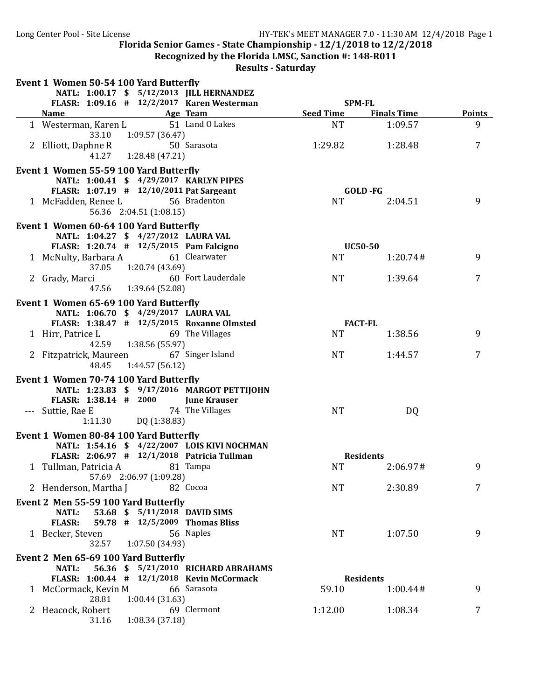Recognized by the Florida LMSC, Sanction #: 148-R011

| Event 1 Women 50-54 100 Yard Butterfly                 |                               |                                                                                         |                           |                    |                |
|--------------------------------------------------------|-------------------------------|-----------------------------------------------------------------------------------------|---------------------------|--------------------|----------------|
|                                                        |                               | NATL: 1:00.17 \$ 5/12/2013 JILL HERNANDEZ<br>FLASR: 1:09.16 # 12/2/2017 Karen Westerman | <b>SPM-FL</b>             |                    |                |
| <b>Name</b><br><u> 1980 - Johann Barbara, martxa a</u> |                               | Age Team                                                                                | <b>Seed Time</b>          | <b>Finals Time</b> | <b>Points</b>  |
| 1 Westerman, Karen L<br>33.10                          | 1:09.57(36.47)                | 51 Land O Lakes                                                                         | <b>NT</b>                 | 1:09.57            | 9              |
| 2 Elliott, Daphne R<br>41.27                           | 1:28.48 (47.21)               | 50 Sarasota                                                                             | 1:29.82                   | 1:28.48            | $\overline{7}$ |
| Event 1 Women 55-59 100 Yard Butterfly                 |                               |                                                                                         |                           |                    |                |
| NATL: 1:00.41 \$ 4/29/2017 KARLYN PIPES                |                               |                                                                                         |                           |                    |                |
| FLASR: 1:07.19 # 12/10/2011 Pat Sargeant               |                               |                                                                                         | GOLD-FG                   |                    |                |
| 1 McFadden, Renee L                                    | 56.36 2:04.51 (1:08.15)       | 56 Bradenton                                                                            | <b>NT</b>                 | 2:04.51            | 9              |
| Event 1 Women 60-64 100 Yard Butterfly                 |                               |                                                                                         |                           |                    |                |
| NATL: 1:04.27 \$ 4/27/2012 LAURA VAL                   |                               |                                                                                         |                           |                    |                |
| FLASR: 1:20.74 # 12/5/2015 Pam Falcigno                |                               |                                                                                         | <b>UC50-50</b>            |                    |                |
| 1 McNulty, Barbara A 61 Clearwater<br>37.05            | 1:20.74 (43.69)               |                                                                                         | <b>NT</b>                 | 1:20.74#           | 9              |
| 2 Grady, Marci                                         |                               | 60 Fort Lauderdale                                                                      | <b>NT</b>                 | 1:39.64            | 7              |
| 47.56                                                  | 1:39.64 (52.08)               |                                                                                         |                           |                    |                |
| Event 1 Women 65-69 100 Yard Butterfly                 |                               |                                                                                         |                           |                    |                |
| NATL: 1:06.70 \$ 4/29/2017 LAURA VAL                   |                               |                                                                                         |                           |                    |                |
| FLASR: 1:38.47 # 12/5/2015 Roxanne Olmsted             |                               |                                                                                         | <b>FACT-FL</b>            |                    |                |
| 1 Hirr, Patrice L<br>42.59                             | 1:38.56 (55.97)               | 69 The Villages                                                                         | <b>NT</b>                 | 1:38.56            | 9              |
| 2 Fitzpatrick, Maureen 67 Singer Island<br>48.45       | 1:44.57 (56.12)               |                                                                                         | <b>NT</b>                 | 1:44.57            | 7              |
| Event 1 Women 70-74 100 Yard Butterfly                 |                               |                                                                                         |                           |                    |                |
|                                                        |                               | NATL: 1:23.83 \$ 9/17/2016 MARGOT PETTIJOHN                                             |                           |                    |                |
| FLASR: 1:38.14 # 2000                                  |                               | <b>June Krauser</b>                                                                     |                           |                    |                |
| --- Suttie, Rae E                                      |                               | 74 The Villages                                                                         | <b>NT</b>                 | DQ                 |                |
| 1:11.30                                                | DQ (1:38.83)                  |                                                                                         |                           |                    |                |
| Event 1 Women 80-84 100 Yard Butterfly                 |                               |                                                                                         |                           |                    |                |
|                                                        |                               | NATL: 1:54.16 \$ 4/22/2007 LOIS KIVI NOCHMAN                                            |                           |                    |                |
| FLASR: 2:06.97 # 12/1/2018 Patricia Tullman            |                               |                                                                                         | <b>Residents</b>          |                    |                |
| 1 Tullman, Patricia A                                  | 57.69 2:06.97 (1:09.28)       | 81 Tampa                                                                                | <b>NT</b>                 | 2:06.97#           | 9              |
| 2 Henderson, Martha J                                  |                               | 82 Cocoa                                                                                | NT                        | 2:30.89            | 7              |
| Event 2 Men 55-59 100 Yard Butterfly                   |                               |                                                                                         |                           |                    |                |
| <b>NATL:</b>                                           | 53.68 \$ 5/11/2018 DAVID SIMS |                                                                                         |                           |                    |                |
| <b>FLASR:</b>                                          |                               | 59.78 # 12/5/2009 Thomas Bliss                                                          |                           |                    |                |
| 1 Becker, Steven                                       |                               | 56 Naples                                                                               | <b>NT</b>                 | 1:07.50            | 9              |
| 32.57                                                  | 1:07.50 (34.93)               |                                                                                         |                           |                    |                |
| Event 2 Men 65-69 100 Yard Butterfly                   |                               |                                                                                         |                           |                    |                |
| <b>NATL:</b>                                           |                               | 56.36 \$ 5/21/2010 RICHARD ABRAHAMS                                                     |                           |                    |                |
| 1 McCormack, Kevin M                                   |                               | FLASR: 1:00.44 # 12/1/2018 Kevin McCormack<br>66 Sarasota                               | <b>Residents</b><br>59.10 | 1:00.44#           | 9              |
| 28.81                                                  | 1:00.44(31.63)                |                                                                                         |                           |                    |                |
| 2 Heacock, Robert                                      |                               | 69 Clermont                                                                             | 1:12.00                   | 1:08.34            | 7              |
| 31.16                                                  | 1:08.34(37.18)                |                                                                                         |                           |                    |                |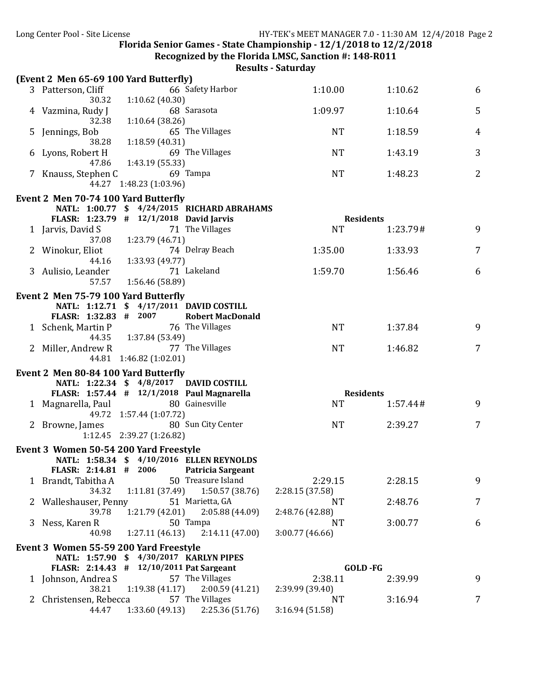Recognized by the Florida LMSC, Sanction #: 148-R011

#### **Results - Saturday**

|              | (Event 2 Men 65-69 100 Yard Butterfly) |                                          |                                             |                        |                  |                |
|--------------|----------------------------------------|------------------------------------------|---------------------------------------------|------------------------|------------------|----------------|
|              | 3 Patterson, Cliff                     |                                          | 66 Safety Harbor                            | 1:10.00                | 1:10.62          | 6              |
|              | 30.32<br>4 Vazmina, Rudy J             | 1:10.62(40.30)                           | 68 Sarasota                                 | 1:09.97                | 1:10.64          | 5              |
|              | 32.38<br>5 Jennings, Bob               | 1:10.64(38.26)                           | 65 The Villages                             | <b>NT</b>              | 1:18.59          | 4              |
|              | 38.28<br>6 Lyons, Robert H             | 1:18.59 (40.31)                          | 69 The Villages                             | <b>NT</b>              | 1:43.19          | 3              |
|              | 47.86<br>7 Knauss, Stephen C           | 1:43.19 (55.33)                          | 69 Tampa                                    | <b>NT</b>              | 1:48.23          | $\overline{2}$ |
|              |                                        | 44.27 1:48.23 (1:03.96)                  |                                             |                        |                  |                |
|              | Event 2 Men 70-74 100 Yard Butterfly   |                                          |                                             |                        |                  |                |
|              |                                        | FLASR: 1:23.79 # 12/1/2018 David Jarvis  | NATL: 1:00.77 \$ 4/24/2015 RICHARD ABRAHAMS |                        | <b>Residents</b> |                |
|              | 1 Jarvis, David S                      |                                          | 71 The Villages                             | <b>NT</b>              | 1:23.79#         | 9              |
|              | 37.08                                  | 1:23.79 (46.71)                          |                                             |                        |                  |                |
|              | 2 Winokur, Eliot                       |                                          | 74 Delray Beach                             | 1:35.00                | 1:33.93          | 7              |
|              | 44.16                                  | 1:33.93 (49.77)                          |                                             |                        |                  |                |
|              | 3 Aulisio, Leander                     |                                          | 71 Lakeland                                 | 1:59.70                | 1:56.46          | 6              |
|              | 57.57                                  | 1:56.46 (58.89)                          |                                             |                        |                  |                |
|              | Event 2 Men 75-79 100 Yard Butterfly   |                                          |                                             |                        |                  |                |
|              |                                        | NATL: 1:12.71 \$ 4/17/2011 DAVID COSTILL |                                             |                        |                  |                |
|              | FLASR: 1:32.83 # 2007                  |                                          | <b>Robert MacDonald</b>                     |                        |                  |                |
|              | 1 Schenk, Martin P                     | 44.35   1:37.84 (53.49)                  | 76 The Villages                             | <b>NT</b>              | 1:37.84          | 9              |
|              | 2 Miller, Andrew R                     |                                          | 77 The Villages                             | <b>NT</b>              | 1:46.82          | 7              |
|              |                                        | 44.81 1:46.82 (1:02.01)                  |                                             |                        |                  |                |
|              | Event 2 Men 80-84 100 Yard Butterfly   |                                          |                                             |                        |                  |                |
|              |                                        | NATL: 1:22.34 \$ 4/8/2017 DAVID COSTILL  |                                             |                        |                  |                |
|              |                                        |                                          | FLASR: 1:57.44 # 12/1/2018 Paul Magnarella  |                        | <b>Residents</b> |                |
|              | 1 Magnarella, Paul                     | 49.72 1:57.44 (1:07.72)                  | 80 Gainesville                              | <b>NT</b>              | 1:57.44#         | 9              |
|              | 2 Browne, James                        |                                          | 80 Sun City Center                          | <b>NT</b>              | 2:39.27          | 7              |
|              |                                        | 1:12.45 2:39.27 (1:26.82)                |                                             |                        |                  |                |
|              | Event 3 Women 50-54 200 Yard Freestyle |                                          |                                             |                        |                  |                |
|              |                                        |                                          | NATL: 1:58.34 \$ 4/10/2016 ELLEN REYNOLDS   |                        |                  |                |
|              |                                        |                                          | FLASR: 2:14.81 # 2006 Patricia Sargeant     |                        |                  |                |
|              | 1 Brandt, Tabitha A                    |                                          | 50 Treasure Island                          | 2:29.15                | 2:28.15          | 9              |
|              | 34.32                                  | 1:11.81 (37.49)                          | 1:50.57 (38.76)                             | 2:28.15 (37.58)        |                  |                |
|              | 2 Walleshauser, Penny                  |                                          | 51 Marietta, GA                             | <b>NT</b>              | 2:48.76          | 7              |
|              | 39.78<br>3 Ness, Karen R               | 1:21.79 (42.01)                          | 2:05.88(44.09)<br>50 Tampa                  | 2:48.76 (42.88)<br>NT. | 3:00.77          | 6              |
|              | 40.98                                  |                                          | $1:27.11(46.13)$ $2:14.11(47.00)$           | 3:00.77 (46.66)        |                  |                |
|              |                                        |                                          |                                             |                        |                  |                |
|              | Event 3 Women 55-59 200 Yard Freestyle | NATL: 1:57.90 \$ 4/30/2017 KARLYN PIPES  |                                             |                        |                  |                |
|              |                                        | FLASR: 2:14.43 # 12/10/2011 Pat Sargeant |                                             |                        | <b>GOLD</b> -FG  |                |
|              | 1 Johnson, Andrea S                    |                                          | 57 The Villages                             | 2:38.11                | 2:39.99          | 9              |
|              | 38.21                                  | 1:19.38(41.17)                           | 2:00.59(41.21)                              | 2:39.99 (39.40)        |                  |                |
| $\mathbf{Z}$ | Christensen, Rebecca                   |                                          | 57 The Villages                             | NT.                    | 3:16.94          | 7              |
|              | 44.47                                  | 1:33.60 (49.13)                          | 2:25.36(51.76)                              | 3:16.94 (51.58)        |                  |                |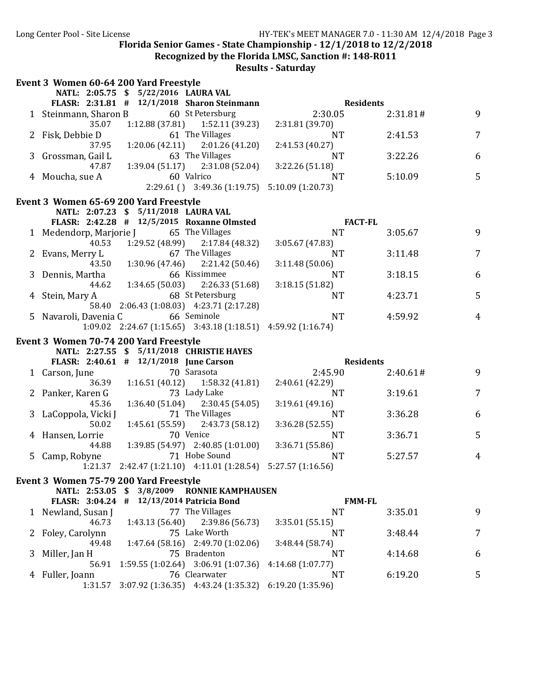**Recognized by the Florida LMSC, Sanction #: 148-R011** 

|   | Event 3 Women 60-64 200 Yard Freestyle      |                                                                       |                         |          |                |
|---|---------------------------------------------|-----------------------------------------------------------------------|-------------------------|----------|----------------|
|   | NATL: 2:05.75 \$ 5/22/2016 LAURA VAL        |                                                                       |                         |          |                |
|   | FLASR: 2:31.81 # 12/1/2018 Sharon Steinmann |                                                                       | <b>Residents</b>        |          |                |
|   | 1 Steinmann, Sharon B 60 St Petersburg      |                                                                       | 2:30.05                 | 2:31.81# | 9              |
|   | 35.07                                       | $1:12.88(37.81)$ $1:52.11(39.23)$                                     | 2:31.81 (39.70)         |          |                |
|   | 2 Fisk, Debbie D                            | 61 The Villages                                                       | <b>NT</b>               | 2:41.53  | $\overline{7}$ |
|   | 37.95                                       | $1:20.06(42.11)$ $2:01.26(41.20)$                                     | 2:41.53 (40.27)         |          |                |
|   | 3 Grossman, Gail L                          | 63 The Villages                                                       | <b>NT</b>               | 3:22.26  | 6              |
|   | 47.87                                       | $1:39.04(51.17)$ $2:31.08(52.04)$                                     | 3:22.26 (51.18)         |          |                |
|   | 4 Moucha, sue A                             | 60 Valrico                                                            | <b>NT</b>               | 5:10.09  | 5              |
|   |                                             | $2:29.61$ () $3:49.36$ (1:19.75) $5:10.09$ (1:20.73)                  |                         |          |                |
|   | Event 3 Women 65-69 200 Yard Freestyle      |                                                                       |                         |          |                |
|   | NATL: 2:07.23 \$ 5/11/2018 LAURA VAL        |                                                                       |                         |          |                |
|   | FLASR: 2:42.28 # 12/5/2015 Roxanne Olmsted  |                                                                       | <b>FACT-FL</b>          |          |                |
|   | 1 Medendorp, Marjorie J 65 The Villages     |                                                                       | <b>NT</b>               | 3:05.67  | 9              |
|   | 40.53                                       | 1:29.52 (48.99) 2:17.84 (48.32)                                       | 3:05.67 (47.83)         |          |                |
|   | 2 Evans, Merry L                            | 67 The Villages                                                       | NT.                     | 3:11.48  | $\overline{7}$ |
|   | 43.50                                       | $1:30.96(47.46)$ $2:21.42(50.46)$                                     | 3:11.48(50.06)          |          |                |
|   | 3 Dennis, Martha                            | 66 Kissimmee                                                          | <b>NT</b>               | 3:18.15  | 6              |
|   | 44.62                                       | $1:34.65(50.03)$ $2:26.33(51.68)$                                     | 3:18.15(51.82)          |          |                |
|   | 4 Stein, Mary A                             | 68 St Petersburg                                                      | NT.                     | 4:23.71  | 5              |
|   |                                             | 58.40 2:06.43 (1:08.03) 4:23.71 (2:17.28)                             |                         |          |                |
|   | 5 Navaroli, Davenia C                       | 66 Seminole                                                           | <b>NT</b>               | 4:59.92  | $\overline{4}$ |
|   |                                             | $1:09.02$ $2:24.67$ (1:15.65) $3:43.18$ (1:18.51) $4:59.92$ (1:16.74) |                         |          |                |
|   | Event 3 Women 70-74 200 Yard Freestyle      |                                                                       |                         |          |                |
|   | NATL: 2:27.55 \$ 5/11/2018 CHRISTIE HAYES   |                                                                       |                         |          |                |
|   | FLASR: 2:40.61 # 12/1/2018 June Carson      |                                                                       | <b>Residents</b>        |          |                |
|   | 1 Carson, June                              | 70 Sarasota                                                           | 2:45.90                 | 2:40.61# | 9              |
|   | 36.39                                       | $1:16.51(40.12)$ $1:58.32(41.81)$                                     | 2:40.61 (42.29)         |          |                |
|   | Panker, Karen G                             | 73 Lady Lake                                                          | <b>NT</b>               | 3:19.61  | $\overline{7}$ |
|   | 45.36                                       | $1:36.40(51.04)$ $2:30.45(54.05)$                                     |                         |          |                |
|   |                                             |                                                                       |                         |          |                |
|   |                                             |                                                                       | 3:19.61(49.16)          |          |                |
|   | 3 LaCoppola, Vicki J                        | 71 The Villages                                                       | <b>NT</b>               | 3:36.28  | 6              |
|   | 50.02                                       | 1:45.61 (55.59) 2:43.73 (58.12)                                       | 3:36.28 (52.55)         |          |                |
|   | Hansen, Lorrie                              | 70 Venice                                                             | <b>NT</b>               | 3:36.71  | 5              |
|   | 44.88                                       | $1:39.85(54.97)$ $2:40.85(1:01.00)$                                   | 3:36.71 (55.86)         |          |                |
|   | 5 Camp, Robyne                              | 71 Hobe Sound                                                         | <b>NT</b>               | 5:27.57  | $\overline{4}$ |
|   |                                             | 1:21.37 2:42.47 (1:21.10) 4:11.01 (1:28.54) 5:27.57 (1:16.56)         |                         |          |                |
|   | Event 3 Women 75-79 200 Yard Freestyle      |                                                                       |                         |          |                |
|   | NATL: 2:53.05 \$                            | 3/8/2009<br><b>RONNIE KAMPHAUSEN</b>                                  |                         |          |                |
|   | FLASR: 3:04.24 #                            | 12/13/2014 Patricia Bond                                              | <b>FMM-FL</b>           |          |                |
|   | 1 Newland, Susan J                          | 77 The Villages                                                       | <b>NT</b>               | 3:35.01  | 9              |
|   | 46.73                                       | 1:43.13 (56.40)<br>2:39.86 (56.73)                                    | 3:35.01(55.15)          |          |                |
| 2 | Foley, Carolynn                             | 75 Lake Worth                                                         | NT                      | 3:48.44  | 7              |
|   | 49.48                                       | 1:47.64 (58.16) 2:49.70 (1:02.06)                                     | 3:48.44 (58.74)         |          |                |
| 3 | Miller, Jan H                               | 75 Bradenton                                                          | <b>NT</b>               | 4:14.68  | 6              |
|   | 56.91                                       | $1:59.55(1:02.64)$ $3:06.91(1:07.36)$                                 | 4:14.68 (1:07.77)       |          |                |
| 4 | Fuller, Joann<br>1:31.57                    | 76 Clearwater<br>$3:07.92$ (1:36.35) 4:43.24 (1:35.32)                | NT<br>6:19.20 (1:35.96) | 6:19.20  | 5              |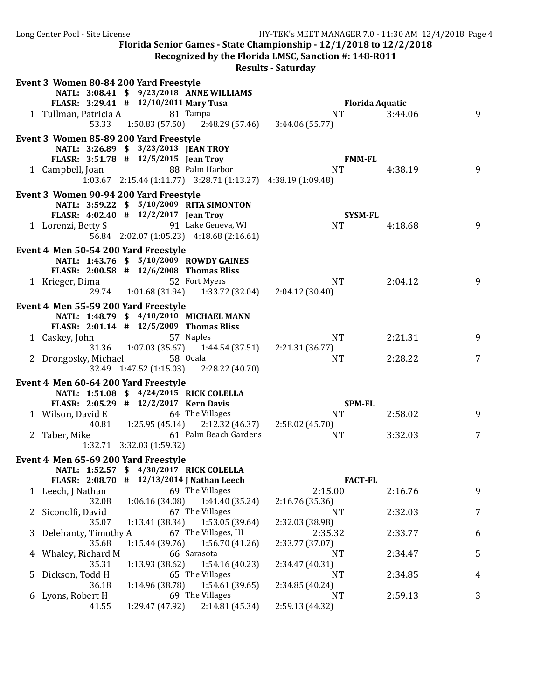Long Center Pool - Site License HY-TEK's MEET MANAGER 7.0 - 11:30 AM 12/4/2018 Page 4 Florida Senior Games - State Championship -  $12/1/2018$  to  $12/2/2018$ **Recognized by the Florida LMSC, Sanction #: 148-R011 Results - Saturday** Event 3 Women 80-84 200 Yard Freestyle **NATL: 3:08.41 \$ 9/23/2018 ANNE WILLIAMS FLASR: 3:29.41 # 12/10/2011 Mary Tusa Florida Aquatic** 1 Tullman, Patricia A 81 Tampa 1 1 NT 3:44.06 9 53.33 1:50.83 (57.50) 2:48.29 (57.46) 3:44.06 (55.77) Event 3 Women 85-89 200 Yard Freestyle **NATL: 3:26.89 \$ 3/23/2013 JEAN TROY FLASR: 3:51.78 # 12/5/2015 Jean Troy FMM-FL** 1 Campbell, Joan 88 Palm Harbor 1 NT 4:38.19 9 1:03.67 2:15.44 (1:11.77) 3:28.71 (1:13.27) 4:38.19 (1:09.48) Event 3 Women 90-94 200 Yard Freestyle **NATL: 3:59.22 \$ 5/10/2009 RITA SIMONTON FLASR: 4:02.40 # 12/2/2017 Jean Troy SYSM-FL** 1 Lorenzi, Betty S 6 91 Lake Geneva, WI 1 1 NT 4:18.68 9 9 56.84 2:02.07 (1:05.23) 4:18.68 (2:16.61) Event 4 Men 50-54 200 Yard Freestyle **NATL: 1:43.76 \$ 5/10/2009 ROWDY GAINES FLASR: 2:00.58** # 12/6/2008 **Thomas Bliss**<br>rieger. Dima 52 Fort Myers 1 Krieger, Dima 52 Fort Myers NT 2:04.12 9<br>29.74 1:01.68 (31.94) 1:33.72 (32.04) 2:04.12 (30.40) 29.74 1:01.68 (31.94) Event 4 Men 55-59 200 Yard Freestyle **NATL: 1:48.79 \$ 4/10/2010 MICHAEL MANN FLASR:**  $2:01.14$  #  $12/5/2009$  Thomas Bliss 1 Caskey, John 57 Naples 1 NT 2:21.31 9 31.36 1:07.03 (35.67) 1:44.54 (37.51) 2:21.31 (36.77) 2 Drongosky, Michael 58 Ocala 19 NT 2:28.22 7<br>32.49 1:47.52 (1:15.03) 2:28.22 (40.70) 32.49 1:47.52 (1:15.03) Event 4 Men 60-64 200 Yard Freestyle **NATL: 1:51.08 \$ 4/24/2015 RICK COLELLA FLASR: 2:05.29 # 12/2/2017 Kern Davis SPM-FL** 1 Wilson, David E 64 The Villages NT 2:58.02 9 40.81 1:25.95 (45.14) 2:12.32 (46.37) 2:58.02 (45.70) 2 Taber, Mike 61 Palm Beach Gardens NT 3:32.03 7 1:32.71 3:32.03 (1:59.32) Event 4 Men 65-69 200 Yard Freestyle **NATL: 1:52.57 \$ 4/30/2017 RICK COLELLA FLASR: 2:08.70 # 12/13/2014 J Nathan Leech FACT-FL**

| $FLANSK: 2:00.70 + 12/13/2014$ Natuali Leech |                                   |                     | TAL I-TL        |         |   |
|----------------------------------------------|-----------------------------------|---------------------|-----------------|---------|---|
| 1 Leech, J Nathan                            |                                   | 69 The Villages     | 2:15.00         | 2:16.76 | 9 |
| 32.08                                        | $1:06.16(34.08)$ $1:41.40(35.24)$ |                     | 2:16.76(35.36)  |         |   |
| 2 Siconolfi, David                           |                                   | 67 The Villages     | NT              | 2:32.03 | 7 |
| 35.07                                        | $1:13.41(38.34)$ $1:53.05(39.64)$ |                     | 2:32.03 (38.98) |         |   |
| 3 Delehanty, Timothy A                       |                                   | 67 The Villages, HI | 2:35.32         | 2:33.77 | 6 |
| 35.68                                        | $1:15.44(39.76)$ $1:56.70(41.26)$ |                     | 2:33.77 (37.07) |         |   |
| 4 Whaley, Richard M                          | 66 Sarasota                       |                     | NT              | 2:34.47 | 5 |
| 35.31                                        | $1:13.93(38.62)$ $1:54.16(40.23)$ |                     | 2:34.47 (40.31) |         |   |
| 5 Dickson, Todd H                            |                                   | 65 The Villages     | NT              | 2:34.85 | 4 |
| 36.18                                        | 1:14.96 (38.78)                   | 1:54.61 (39.65)     | 2:34.85 (40.24) |         |   |
| 6 Lyons, Robert H                            |                                   | 69 The Villages     | NT              | 2:59.13 | 3 |
| 41.55                                        | 1:29.47 (47.92)                   | 2:14.81 (45.34)     | 2:59.13 (44.32) |         |   |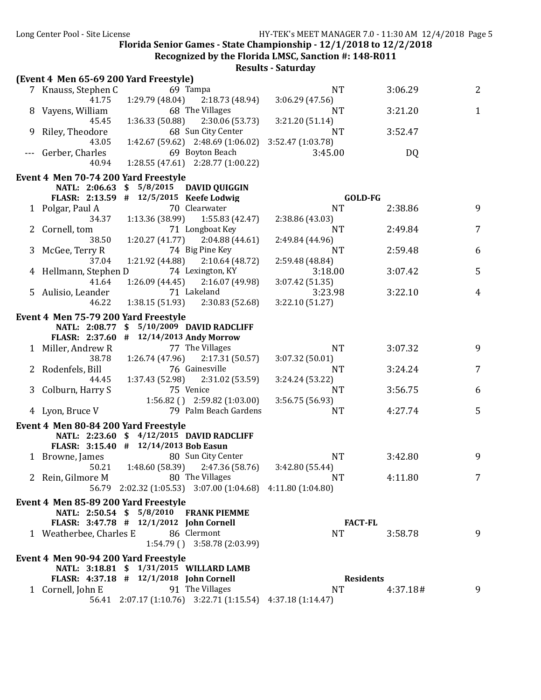Recognized by the Florida LMSC, Sanction #: 148-R011

|   | (Event 4 Men 65-69 200 Yard Freestyle)                                          |                   |          |                |
|---|---------------------------------------------------------------------------------|-------------------|----------|----------------|
|   | 69 Tampa<br>7 Knauss, Stephen C                                                 | NT.               | 3:06.29  | 2              |
|   | 41.75<br>1:29.79(48.04)<br>2:18.73 (48.94)                                      | 3:06.29 (47.56)   |          |                |
|   | 68 The Villages<br>8 Vayens, William                                            | NT                | 3:21.20  | 1              |
|   | $1:36.33(50.88)$ $2:30.06(53.73)$<br>45.45                                      | 3:21.20 (51.14)   |          |                |
| 9 | 68 Sun City Center<br>Riley, Theodore                                           | NT                | 3:52.47  |                |
|   | $1:42.67(59.62)$ $2:48.69(1:06.02)$<br>43.05                                    | 3:52.47 (1:03.78) |          |                |
|   | 69 Boyton Beach<br>Gerber, Charles                                              | 3:45.00           | DQ       |                |
|   | 1:28.55 (47.61) 2:28.77 (1:00.22)<br>40.94                                      |                   |          |                |
|   | Event 4 Men 70-74 200 Yard Freestyle                                            |                   |          |                |
|   | NATL: 2:06.63 \$ 5/8/2015 DAVID QUIGGIN                                         |                   |          |                |
|   | FLASR: 2:13.59 # 12/5/2015 Keefe Lodwig                                         | GOLD-FG           |          |                |
|   | 70 Clearwater<br>1 Polgar, Paul A                                               | <b>NT</b>         | 2:38.86  | 9              |
|   | $1:13.36(38.99)$ $1:55.83(42.47)$<br>34.37                                      | 2:38.86 (43.03)   |          |                |
|   | 71 Longboat Key<br>Cornell, tom                                                 | <b>NT</b>         | 2:49.84  | 7              |
|   | $1:20.27(41.77)$ $2:04.88(44.61)$<br>38.50                                      | 2:49.84 (44.96)   |          |                |
| 3 | 74 Big Pine Key<br>McGee, Terry R                                               | <b>NT</b>         | 2:59.48  | 6              |
|   | $1:21.92$ (44.88) $2:10.64$ (48.72)<br>37.04                                    | 2:59.48 (48.84)   |          |                |
|   | 74 Lexington, KY<br>4 Hellmann, Stephen D                                       | 3:18.00           | 3:07.42  | 5              |
|   | 41.64<br>1:26.09(44.45)<br>2:16.07(49.98)                                       | 3:07.42 (51.35)   |          |                |
|   | 71 Lakeland<br>5 Aulisio, Leander                                               | 3:23.98           | 3:22.10  | 4              |
|   | 46.22<br>$1:38.15(51.93)$ $2:30.83(52.68)$                                      | 3:22.10 (51.27)   |          |                |
|   | Event 4 Men 75-79 200 Yard Freestyle                                            |                   |          |                |
|   | NATL: 2:08.77 \$ 5/10/2009 DAVID RADCLIFF                                       |                   |          |                |
|   | FLASR: 2:37.60 # 12/14/2013 Andy Morrow                                         |                   |          |                |
|   | 77 The Villages<br>1 Miller, Andrew R                                           | <b>NT</b>         | 3:07.32  | 9              |
|   | $1:26.74(47.96)$ $2:17.31(50.57)$<br>38.78                                      | 3:07.32 (50.01)   |          |                |
|   | 76 Gainesville<br>2 Rodenfels, Bill                                             | <b>NT</b>         | 3:24.24  | $\overline{7}$ |
|   | 1:37.43 (52.98) 2:31.02 (53.59)<br>44.45                                        | 3:24.24 (53.22)   |          |                |
|   | 75 Venice<br>3 Colburn, Harry S                                                 | <b>NT</b>         | 3:56.75  | 6              |
|   | $1:56.82$ () $2:59.82$ (1:03.00)                                                | 3:56.75 (56.93)   |          |                |
|   | 79 Palm Beach Gardens<br>4 Lyon, Bruce V                                        | <b>NT</b>         | 4:27.74  | 5              |
|   | Event 4 Men 80-84 200 Yard Freestyle                                            |                   |          |                |
|   | NATL: 2:23.60 \$ 4/12/2015 DAVID RADCLIFF                                       |                   |          |                |
|   | FLASR: 3:15.40 # 12/14/2013 Bob Easun                                           |                   |          |                |
|   | 80 Sun City Center<br>1 Browne, James                                           | <b>NT</b>         | 3:42.80  | 9              |
|   | $1:48.60(58.39)$ $2:47.36(58.76)$<br>50.21                                      | 3:42.80 (55.44)   |          |                |
|   | 80 The Villages<br>2 Rein, Gilmore M                                            | <b>NT</b>         | 4:11.80  | 7              |
|   | 56.79 2:02.32 (1:05.53) 3:07.00 (1:04.68) 4:11.80 (1:04.80)                     |                   |          |                |
|   | Event 4 Men 85-89 200 Yard Freestyle                                            |                   |          |                |
|   | NATL: 2:50.54 \$ 5/8/2010 FRANK PIEMME                                          |                   |          |                |
|   | FLASR: 3:47.78 # 12/1/2012 John Cornell                                         | <b>FACT-FL</b>    |          |                |
|   | 86 Clermont<br>1 Weatherbee, Charles E                                          | <b>NT</b>         | 3:58.78  | 9              |
|   | $1:54.79$ () $3:58.78$ (2:03.99)                                                |                   |          |                |
|   |                                                                                 |                   |          |                |
|   | Event 4 Men 90-94 200 Yard Freestyle<br>NATL: 3:18.81 \$ 1/31/2015 WILLARD LAMB |                   |          |                |
|   | FLASR: 4:37.18 # 12/1/2018 John Cornell                                         | <b>Residents</b>  |          |                |
|   | 91 The Villages<br>1 Cornell, John E                                            | <b>NT</b>         | 4:37.18# | 9              |
|   | 56.41 2:07.17 (1:10.76) 3:22.71 (1:15.54) 4:37.18 (1:14.47)                     |                   |          |                |
|   |                                                                                 |                   |          |                |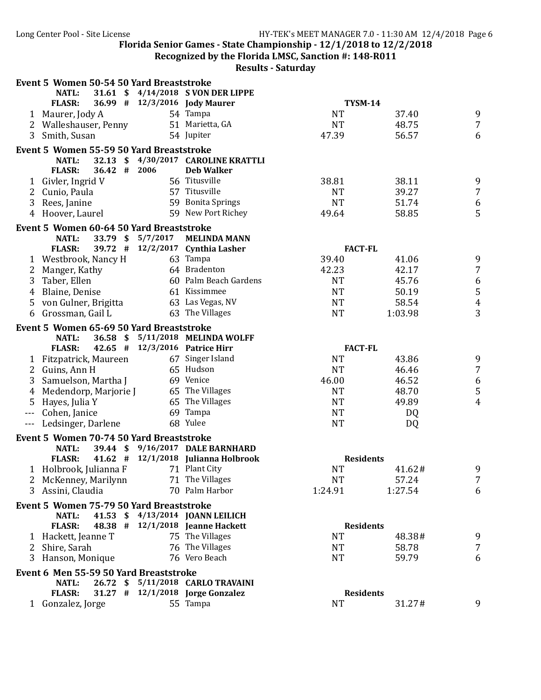**Recognized by the Florida LMSC, Sanction #: 148-R011** 

|                | Event 5 Women 50-54 50 Yard Breaststroke                 |                   |                                                                      |                  |           |                  |
|----------------|----------------------------------------------------------|-------------------|----------------------------------------------------------------------|------------------|-----------|------------------|
|                | <b>NATL:</b>                                             |                   | 31.61 \$4/14/2018 SVON DER LIPPE                                     |                  |           |                  |
|                | <b>FLASR:</b>                                            |                   | 36.99 # 12/3/2016 Jody Maurer                                        | <b>TYSM-14</b>   |           |                  |
|                | 1 Maurer, Jody A                                         |                   | 54 Tampa                                                             | <b>NT</b>        | 37.40     | 9                |
|                | 2 Walleshauser, Penny                                    |                   | 51 Marietta, GA                                                      | <b>NT</b>        | 48.75     | $\overline{7}$   |
| 3              | Smith, Susan                                             |                   | 54 Jupiter                                                           | 47.39            | 56.57     | 6                |
|                | Event 5 Women 55-59 50 Yard Breaststroke<br><b>NATL:</b> |                   | 32.13 \$4/30/2017 CAROLINE KRATTLI                                   |                  |           |                  |
|                | 36.42 # 2006<br><b>FLASR:</b>                            |                   | <b>Deb Walker</b>                                                    |                  |           |                  |
|                | 1 Givler, Ingrid V                                       |                   | 56 Titusville                                                        | 38.81            | 38.11     | 9                |
| 2              | Cunio, Paula                                             |                   | 57 Titusville                                                        | <b>NT</b>        | 39.27     | $\overline{7}$   |
| 3              | Rees, Janine                                             |                   | 59 Bonita Springs                                                    | <b>NT</b>        | 51.74     | 6                |
| 4              | Hoover, Laurel                                           |                   | 59 New Port Richey                                                   | 49.64            | 58.85     | 5                |
|                | Event 5 Women 60-64 50 Yard Breaststroke                 |                   |                                                                      |                  |           |                  |
|                | <b>NATL:</b>                                             | 33.79 \$ 5/7/2017 | <b>MELINDA MANN</b>                                                  |                  |           |                  |
|                | <b>FLASR:</b><br>39.72 #                                 |                   | 12/2/2017 Cynthia Lasher                                             | <b>FACT-FL</b>   |           |                  |
|                | 1 Westbrook, Nancy H                                     |                   | 63 Tampa                                                             | 39.40            | 41.06     | 9                |
| 2              | Manger, Kathy                                            |                   | 64 Bradenton                                                         | 42.23            | 42.17     | $\overline{7}$   |
| 3              | Taber, Ellen                                             |                   | 60 Palm Beach Gardens                                                | <b>NT</b>        | 45.76     | $\boldsymbol{6}$ |
| $\overline{4}$ | Blaine, Denise                                           |                   | 61 Kissimmee                                                         | <b>NT</b>        | 50.19     | $\sqrt{5}$       |
| 5              | von Gulner, Brigitta                                     |                   | 63 Las Vegas, NV                                                     | <b>NT</b>        | 58.54     | $\pmb{4}$        |
|                | 6 Grossman, Gail L                                       |                   | 63 The Villages                                                      | <b>NT</b>        | 1:03.98   | 3                |
|                |                                                          |                   |                                                                      |                  |           |                  |
|                | Event 5 Women 65-69 50 Yard Breaststroke<br><b>NATL:</b> |                   | 36.58 \$ 5/11/2018 MELINDA WOLFF                                     |                  |           |                  |
|                | <b>FLASR:</b>                                            |                   | 42.65 # 12/3/2016 Patrice Hirr                                       | <b>FACT-FL</b>   |           |                  |
|                | 1 Fitzpatrick, Maureen                                   |                   | 67 Singer Island                                                     | <b>NT</b>        | 43.86     | 9                |
|                | 2 Guins, Ann H                                           |                   | 65 Hudson                                                            | <b>NT</b>        | 46.46     | $\overline{7}$   |
| 3              | Samuelson, Martha J                                      |                   | 69 Venice                                                            | 46.00            | 46.52     | 6                |
| 4              | Medendorp, Marjorie J                                    |                   | 65 The Villages                                                      | <b>NT</b>        | 48.70     | $\mathsf S$      |
| 5              | Hayes, Julia Y                                           |                   | 65 The Villages                                                      | <b>NT</b>        | 49.89     | $\overline{4}$   |
|                | --- Cohen, Janice                                        |                   | 69 Tampa                                                             | <b>NT</b>        | <b>DQ</b> |                  |
|                | --- Ledsinger, Darlene                                   |                   | 68 Yulee                                                             | <b>NT</b>        | DQ        |                  |
|                | Event 5 Women 70-74 50 Yard Breaststroke                 |                   |                                                                      |                  |           |                  |
|                | <b>NATL:</b>                                             |                   | 39.44 \$ 9/16/2017 DALE BARNHARD                                     |                  |           |                  |
|                | <b>FLASR:</b>                                            |                   | 41.62 $\#$ 12/1/2018 Julianna Holbrook                               | <b>Residents</b> |           |                  |
|                | 1 Holbrook, Julianna F                                   |                   | 71 Plant City                                                        | <b>NT</b>        | 41.62#    | 9                |
|                | 2 McKenney, Marilynn                                     |                   | 71 The Villages                                                      | <b>NT</b>        | 57.24     | $\overline{7}$   |
|                | 3 Assini, Claudia                                        |                   | 70 Palm Harbor                                                       | 1:24.91          | 1:27.54   | 6                |
|                |                                                          |                   |                                                                      |                  |           |                  |
|                | Event 5 Women 75-79 50 Yard Breaststroke                 |                   |                                                                      |                  |           |                  |
|                | NATL:<br><b>FLASR:</b>                                   |                   | 41.53 \$ 4/13/2014 JOANN LEILICH<br>48.38 # 12/1/2018 Jeanne Hackett | <b>Residents</b> |           |                  |
|                |                                                          |                   | 75 The Villages                                                      | <b>NT</b>        | 48.38#    | 9                |
|                | 1 Hackett, Jeanne T<br>2 Shire, Sarah                    |                   | 76 The Villages                                                      | <b>NT</b>        | 58.78     | 7                |
|                |                                                          |                   | 76 Vero Beach                                                        |                  |           |                  |
|                | 3 Hanson, Monique                                        |                   |                                                                      | <b>NT</b>        | 59.79     | 6                |
|                | Event 6 Men 55-59 50 Yard Breaststroke                   |                   |                                                                      |                  |           |                  |
|                | NATL:                                                    |                   | 26.72 \$ 5/11/2018 CARLO TRAVAINI                                    |                  |           |                  |
|                | <b>FLASR:</b>                                            |                   | 31.27 # 12/1/2018 Jorge Gonzalez                                     | <b>Residents</b> |           |                  |
|                | 1 Gonzalez, Jorge                                        |                   | 55 Tampa                                                             | <b>NT</b>        | 31.27#    | 9                |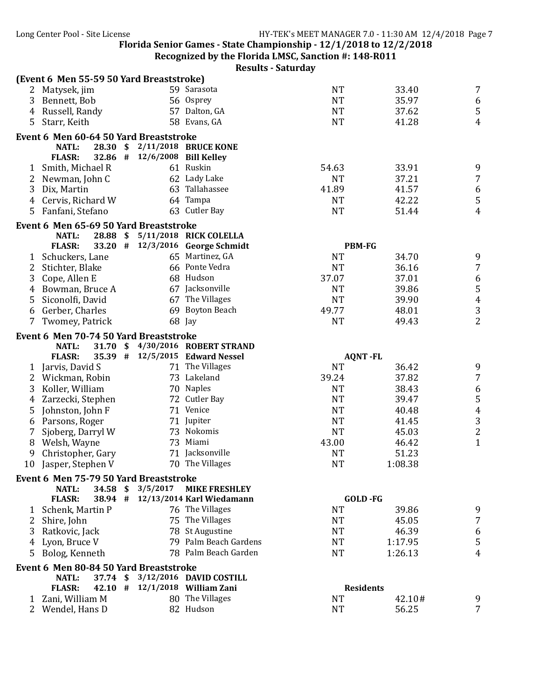Recognized by the Florida LMSC, Sanction #: 148-R011

|                |                   |          | (Event 6 Men 55-59 50 Yard Breaststroke) |                                   |           |                  |                                       |
|----------------|-------------------|----------|------------------------------------------|-----------------------------------|-----------|------------------|---------------------------------------|
|                | 2 Matysek, jim    |          |                                          | 59 Sarasota                       | <b>NT</b> | 33.40            | $\overline{7}$                        |
| 3              | Bennett, Bob      |          |                                          | 56 Osprey                         | <b>NT</b> | 35.97            | 6                                     |
|                | 4 Russell, Randy  |          |                                          | 57 Dalton, GA                     | <b>NT</b> | 37.62            | $\mathsf S$                           |
|                | 5 Starr, Keith    |          |                                          | 58 Evans, GA                      | <b>NT</b> | 41.28            | $\overline{4}$                        |
|                |                   |          | Event 6 Men 60-64 50 Yard Breaststroke   |                                   |           |                  |                                       |
|                | NATL:             |          |                                          | 28.30 \$ 2/11/2018 BRUCE KONE     |           |                  |                                       |
|                | <b>FLASR:</b>     |          | 32.86 # 12/6/2008 Bill Kelley            |                                   |           |                  |                                       |
| $\mathbf{1}$   | Smith, Michael R  |          |                                          | 61 Ruskin                         | 54.63     | 33.91            | 9                                     |
| 2              | Newman, John C    |          |                                          | 62 Lady Lake                      | <b>NT</b> | 37.21            | $\overline{7}$                        |
| 3              | Dix, Martin       |          |                                          | 63 Tallahassee                    | 41.89     | 41.57            | $\frac{6}{5}$                         |
| 4              | Cervis, Richard W |          |                                          | 64 Tampa                          | <b>NT</b> | 42.22            |                                       |
| 5              | Fanfani, Stefano  |          |                                          | 63 Cutler Bay                     | <b>NT</b> | 51.44            | $\overline{4}$                        |
|                |                   |          | Event 6 Men 65-69 50 Yard Breaststroke   |                                   |           |                  |                                       |
|                | <b>NATL:</b>      | 28.88 \$ |                                          | 5/11/2018 RICK COLELLA            |           |                  |                                       |
|                | <b>FLASR:</b>     |          |                                          | 33.20 # 12/3/2016 George Schmidt  |           | <b>PBM-FG</b>    |                                       |
| $\mathbf{1}$   | Schuckers, Lane   |          |                                          | 65 Martinez, GA                   | <b>NT</b> | 34.70            | 9                                     |
| 2              | Stichter, Blake   |          |                                          | 66 Ponte Vedra                    | <b>NT</b> | 36.16            | $\overline{7}$                        |
| 3              | Cope, Allen E     |          |                                          | 68 Hudson                         | 37.07     | 37.01            | $\boldsymbol{6}$                      |
| 4              | Bowman, Bruce A   |          |                                          | 67 Jacksonville                   | <b>NT</b> | 39.86            | $\mathsf S$                           |
| 5              | Siconolfi, David  |          |                                          | 67 The Villages                   | <b>NT</b> | 39.90            |                                       |
| 6              | Gerber, Charles   |          |                                          | 69 Boyton Beach                   | 49.77     | 48.01            | $\frac{4}{3}$                         |
| 7              | Twomey, Patrick   |          |                                          | 68 Jay                            | <b>NT</b> | 49.43            | $\overline{2}$                        |
|                |                   |          |                                          |                                   |           |                  |                                       |
|                |                   |          | Event 6 Men 70-74 50 Yard Breaststroke   |                                   |           |                  |                                       |
|                | <b>NATL:</b>      |          |                                          | 31.70 \$ 4/30/2016 ROBERT STRAND  |           |                  |                                       |
|                | <b>FLASR:</b>     |          |                                          | 35.39 # 12/5/2015 Edward Nessel   |           | <b>AQNT-FL</b>   |                                       |
| $\mathbf{1}$   | Jarvis, David S   |          |                                          | 71 The Villages                   | <b>NT</b> | 36.42            | 9                                     |
| $\overline{2}$ | Wickman, Robin    |          |                                          | 73 Lakeland                       | 39.24     | 37.82            | $\overline{7}$                        |
| 3              | Koller, William   |          |                                          | 70 Naples                         | <b>NT</b> | 38.43            | $\boldsymbol{6}$                      |
| 4              | Zarzecki, Stephen |          |                                          | 72 Cutler Bay                     | <b>NT</b> | 39.47            | $\overline{5}$                        |
| 5              | Johnston, John F  |          |                                          | 71 Venice                         | <b>NT</b> | 40.48            | $\pmb{4}$                             |
| 6              | Parsons, Roger    |          |                                          | 71 Jupiter                        | <b>NT</b> | 41.45            | $\mathbf{3}$                          |
| 7              | Sjoberg, Darryl W |          |                                          | 73 Nokomis                        | <b>NT</b> | 45.03            | $\begin{array}{c} 2 \\ 1 \end{array}$ |
| 8              | Welsh, Wayne      |          |                                          | 73 Miami                          | 43.00     | 46.42            |                                       |
| 9              | Christopher, Gary |          |                                          | 71 Jacksonville                   | <b>NT</b> | 51.23            |                                       |
| 10             | Jasper, Stephen V |          |                                          | 70 The Villages                   | <b>NT</b> | 1:08.38          |                                       |
|                |                   |          | Event 6 Men 75-79 50 Yard Breaststroke   |                                   |           |                  |                                       |
|                | <b>NATL:</b>      |          | 34.58 \$ 3/5/2017                        | <b>MIKE FRESHLEY</b>              |           |                  |                                       |
|                | <b>FLASR:</b>     |          |                                          | 38.94 # 12/13/2014 Karl Wiedamann |           | GOLD-FG          |                                       |
| 1              | Schenk, Martin P  |          |                                          | 76 The Villages                   | <b>NT</b> | 39.86            | 9                                     |
| 2              | Shire, John       |          |                                          | 75 The Villages                   | <b>NT</b> | 45.05            | $\overline{7}$                        |
| 3              | Ratkovic, Jack    |          |                                          | 78 St Augustine                   | <b>NT</b> | 46.39            | $\boldsymbol{6}$                      |
| 4              | Lyon, Bruce V     |          |                                          | 79 Palm Beach Gardens             | <b>NT</b> | 1:17.95          | $\mathsf S$                           |
| 5              | Bolog, Kenneth    |          |                                          | 78 Palm Beach Garden              | <b>NT</b> | 1:26.13          | $\overline{4}$                        |
|                |                   |          | Event 6 Men 80-84 50 Yard Breaststroke   |                                   |           |                  |                                       |
|                | <b>NATL:</b>      |          |                                          | 37.74 \$ 3/12/2016 DAVID COSTILL  |           |                  |                                       |
|                | <b>FLASR:</b>     |          |                                          | 42.10 # 12/1/2018 William Zani    |           | <b>Residents</b> |                                       |
|                | 1 Zani, William M |          |                                          | 80 The Villages                   | <b>NT</b> | 42.10#           | 9                                     |
| 2              | Wendel, Hans D    |          |                                          | 82 Hudson                         | <b>NT</b> | 56.25            | 7                                     |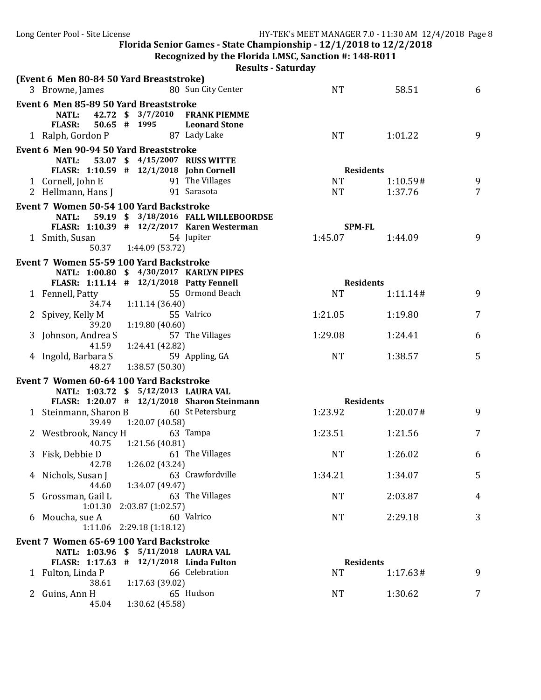**Recognized by the Florida LMSC, Sanction #: 148-R011** 

| 80 Sun City Center<br><b>NT</b>            | 58.51                                                                                                                                                                                                                                                                                                                                                                                                                                                                                                      | 6                                                                                                                                                                                                                         |
|--------------------------------------------|------------------------------------------------------------------------------------------------------------------------------------------------------------------------------------------------------------------------------------------------------------------------------------------------------------------------------------------------------------------------------------------------------------------------------------------------------------------------------------------------------------|---------------------------------------------------------------------------------------------------------------------------------------------------------------------------------------------------------------------------|
|                                            |                                                                                                                                                                                                                                                                                                                                                                                                                                                                                                            |                                                                                                                                                                                                                           |
| 42.72 \$ 3/7/2010 FRANK PIEMME             |                                                                                                                                                                                                                                                                                                                                                                                                                                                                                                            |                                                                                                                                                                                                                           |
| <b>Leonard Stone</b>                       |                                                                                                                                                                                                                                                                                                                                                                                                                                                                                                            |                                                                                                                                                                                                                           |
| <b>NT</b>                                  | 1:01.22                                                                                                                                                                                                                                                                                                                                                                                                                                                                                                    | 9                                                                                                                                                                                                                         |
|                                            |                                                                                                                                                                                                                                                                                                                                                                                                                                                                                                            |                                                                                                                                                                                                                           |
| 53.07 \$ 4/15/2007 RUSS WITTE              |                                                                                                                                                                                                                                                                                                                                                                                                                                                                                                            |                                                                                                                                                                                                                           |
| FLASR: 1:10.59 # 12/1/2018 John Cornell    |                                                                                                                                                                                                                                                                                                                                                                                                                                                                                                            |                                                                                                                                                                                                                           |
| 91 The Villages<br><b>NT</b>               | 1:10.59#                                                                                                                                                                                                                                                                                                                                                                                                                                                                                                   | 9                                                                                                                                                                                                                         |
|                                            |                                                                                                                                                                                                                                                                                                                                                                                                                                                                                                            | $\overline{7}$                                                                                                                                                                                                            |
|                                            |                                                                                                                                                                                                                                                                                                                                                                                                                                                                                                            |                                                                                                                                                                                                                           |
| 59.19 \$ 3/18/2016 FALL WILLEBOORDSE       |                                                                                                                                                                                                                                                                                                                                                                                                                                                                                                            |                                                                                                                                                                                                                           |
| FLASR: 1:10.39 # 12/2/2017 Karen Westerman |                                                                                                                                                                                                                                                                                                                                                                                                                                                                                                            |                                                                                                                                                                                                                           |
|                                            | 1:44.09                                                                                                                                                                                                                                                                                                                                                                                                                                                                                                    | 9                                                                                                                                                                                                                         |
|                                            |                                                                                                                                                                                                                                                                                                                                                                                                                                                                                                            |                                                                                                                                                                                                                           |
|                                            |                                                                                                                                                                                                                                                                                                                                                                                                                                                                                                            |                                                                                                                                                                                                                           |
| NATL: 1:00.80 \$ 4/30/2017 KARLYN PIPES    |                                                                                                                                                                                                                                                                                                                                                                                                                                                                                                            |                                                                                                                                                                                                                           |
|                                            |                                                                                                                                                                                                                                                                                                                                                                                                                                                                                                            |                                                                                                                                                                                                                           |
|                                            |                                                                                                                                                                                                                                                                                                                                                                                                                                                                                                            | 9                                                                                                                                                                                                                         |
|                                            |                                                                                                                                                                                                                                                                                                                                                                                                                                                                                                            |                                                                                                                                                                                                                           |
|                                            |                                                                                                                                                                                                                                                                                                                                                                                                                                                                                                            | 7                                                                                                                                                                                                                         |
|                                            |                                                                                                                                                                                                                                                                                                                                                                                                                                                                                                            | 6                                                                                                                                                                                                                         |
|                                            |                                                                                                                                                                                                                                                                                                                                                                                                                                                                                                            |                                                                                                                                                                                                                           |
|                                            |                                                                                                                                                                                                                                                                                                                                                                                                                                                                                                            | 5                                                                                                                                                                                                                         |
|                                            |                                                                                                                                                                                                                                                                                                                                                                                                                                                                                                            |                                                                                                                                                                                                                           |
|                                            |                                                                                                                                                                                                                                                                                                                                                                                                                                                                                                            |                                                                                                                                                                                                                           |
|                                            |                                                                                                                                                                                                                                                                                                                                                                                                                                                                                                            |                                                                                                                                                                                                                           |
|                                            |                                                                                                                                                                                                                                                                                                                                                                                                                                                                                                            |                                                                                                                                                                                                                           |
|                                            |                                                                                                                                                                                                                                                                                                                                                                                                                                                                                                            | 9                                                                                                                                                                                                                         |
|                                            |                                                                                                                                                                                                                                                                                                                                                                                                                                                                                                            |                                                                                                                                                                                                                           |
| 1:23.51                                    | 1:21.56                                                                                                                                                                                                                                                                                                                                                                                                                                                                                                    | 7                                                                                                                                                                                                                         |
|                                            |                                                                                                                                                                                                                                                                                                                                                                                                                                                                                                            |                                                                                                                                                                                                                           |
|                                            |                                                                                                                                                                                                                                                                                                                                                                                                                                                                                                            | 6                                                                                                                                                                                                                         |
|                                            |                                                                                                                                                                                                                                                                                                                                                                                                                                                                                                            |                                                                                                                                                                                                                           |
|                                            |                                                                                                                                                                                                                                                                                                                                                                                                                                                                                                            | 5                                                                                                                                                                                                                         |
|                                            |                                                                                                                                                                                                                                                                                                                                                                                                                                                                                                            |                                                                                                                                                                                                                           |
|                                            |                                                                                                                                                                                                                                                                                                                                                                                                                                                                                                            | 4                                                                                                                                                                                                                         |
|                                            |                                                                                                                                                                                                                                                                                                                                                                                                                                                                                                            | 3                                                                                                                                                                                                                         |
|                                            |                                                                                                                                                                                                                                                                                                                                                                                                                                                                                                            |                                                                                                                                                                                                                           |
|                                            |                                                                                                                                                                                                                                                                                                                                                                                                                                                                                                            |                                                                                                                                                                                                                           |
|                                            |                                                                                                                                                                                                                                                                                                                                                                                                                                                                                                            |                                                                                                                                                                                                                           |
|                                            |                                                                                                                                                                                                                                                                                                                                                                                                                                                                                                            |                                                                                                                                                                                                                           |
| 66 Celebration                             |                                                                                                                                                                                                                                                                                                                                                                                                                                                                                                            | 9                                                                                                                                                                                                                         |
|                                            |                                                                                                                                                                                                                                                                                                                                                                                                                                                                                                            |                                                                                                                                                                                                                           |
| <b>NT</b>                                  | 1:30.62                                                                                                                                                                                                                                                                                                                                                                                                                                                                                                    | 7                                                                                                                                                                                                                         |
|                                            |                                                                                                                                                                                                                                                                                                                                                                                                                                                                                                            |                                                                                                                                                                                                                           |
|                                            | <b>NT</b><br>1:45.07<br>FLASR: 1:11.14 # 12/1/2018 Patty Fennell<br>55 Ormond Beach<br><b>NT</b><br>1:21.05<br>57 The Villages<br>1:29.08<br>59 Appling, GA<br><b>NT</b><br>NATL: 1:03.72 \$ 5/12/2013 LAURA VAL<br>FLASR: 1:20.07 # 12/1/2018 Sharon Steinmann<br>60 St Petersburg<br>1:23.92<br>61 The Villages<br><b>NT</b><br>63 Crawfordville<br>1:34.21<br>63 The Villages<br><b>NT</b><br><b>NT</b><br>NATL: 1:03.96 \$ 5/11/2018 LAURA VAL<br>FLASR: 1:17.63 # 12/1/2018 Linda Fulton<br><b>NT</b> | <b>Residents</b><br>1:37.76<br><b>SPM-FL</b><br><b>Residents</b><br>1:11.14#<br>1:19.80<br>1:24.41<br>1:38.57<br><b>Residents</b><br>1:20.07#<br>1:26.02<br>1:34.07<br>2:03.87<br>2:29.18<br><b>Residents</b><br>1:17.63# |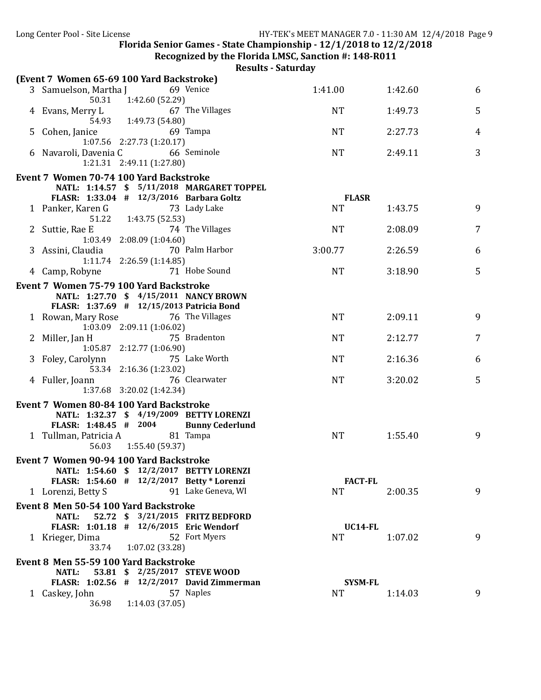**Recognized by the Florida LMSC, Sanction #: 148-R011** 

|   | (Event 7 Women 65-69 100 Yard Backstroke)                                                 |                                                   |         |   |
|---|-------------------------------------------------------------------------------------------|---------------------------------------------------|---------|---|
|   | 3 Samuelson, Martha J 69 Venice                                                           | 1:41.00                                           | 1:42.60 | 6 |
|   | 1:42.60 (52.29)<br>50.31<br>4 Evans, Merry L 67<br>54.93 1:49.73 (54.80)                  | 67 The Villages<br><b>NT</b>                      | 1:49.73 | 5 |
| 5 | Cohen, Janice<br>69 Tampa<br>1:07.56 2:27.73 (1:20.17)                                    | <b>NT</b>                                         | 2:27.73 | 4 |
|   | 6 Navaroli, Davenia C 66 Seminole<br>1:21.31  2:49.11  (1:27.80)                          | <b>NT</b>                                         | 2:49.11 | 3 |
|   | Event 7 Women 70-74 100 Yard Backstroke                                                   |                                                   |         |   |
|   | NATL: 1:14.57 \$ 5/11/2018 MARGARET TOPPEL                                                |                                                   |         |   |
|   | FLASR: 1:33.04 # 12/3/2016 Barbara Goltz                                                  | <b>FLASR</b>                                      |         |   |
|   | 73 Lady Lake<br>1 Panker, Karen G                                                         | <b>NT</b>                                         | 1:43.75 | 9 |
|   | 51.22   1:43.75 (52.53)                                                                   |                                                   |         |   |
|   | 2 Suttie, Rae E                                                                           | 74 The Villages<br>NT.                            | 2:08.09 | 7 |
|   | $1:03.49$ $2:08.09$ $(1:04.60)$<br>3 Assini, Claudia                                      | 70 Palm Harbor<br>3:00.77                         | 2:26.59 | 6 |
|   | $1:11.74$ $2:26.59$ $(1:14.85)$                                                           |                                                   |         |   |
|   | 4 Camp, Robyne                                                                            | 71 Hobe Sound<br><b>NT</b>                        | 3:18.90 | 5 |
|   | Event 7 Women 75-79 100 Yard Backstroke                                                   |                                                   |         |   |
|   | NATL: 1:27.70 \$ 4/15/2011 NANCY BROWN                                                    |                                                   |         |   |
|   | FLASR: 1:37.69 # 12/15/2013 Patricia Bond                                                 |                                                   |         |   |
|   | 1 Rowan, Mary Rose 76 The Villages                                                        | <b>NT</b>                                         | 2:09.11 | 9 |
|   | 1:03.09 2:09.11 (1:06.02)                                                                 |                                                   |         |   |
|   | 75 Bradenton<br>2 Miller, Jan H                                                           | <b>NT</b>                                         | 2:12.77 | 7 |
|   | $1:05.87$ $2:12.77$ $(1:06.90)$<br>3 Foley, Carolynn                                      | 75 Lake Worth<br><b>NT</b>                        | 2:16.36 | 6 |
|   | 53.34 2:16.36 (1:23.02)                                                                   |                                                   |         |   |
|   | 76 Clearwater<br>4 Fuller, Joann                                                          | <b>NT</b>                                         | 3:20.02 | 5 |
|   | 1:37.68 3:20.02 (1:42.34)                                                                 |                                                   |         |   |
|   | Event 7 Women 80-84 100 Yard Backstroke                                                   |                                                   |         |   |
|   | NATL: 1:32.37 \$ 4/19/2009 BETTY LORENZI                                                  |                                                   |         |   |
|   | FLASR: 1:48.45 # 2004 Bunny Cederlund                                                     |                                                   |         |   |
|   | 1 Tullman, Patricia A 81 Tampa                                                            | <b>NT</b>                                         | 1:55.40 | 9 |
|   | 56.03<br>1:55.40 (59.37)                                                                  |                                                   |         |   |
|   | Event 7 Women 90-94 100 Yard Backstroke                                                   |                                                   |         |   |
|   | NATL: 1:54.60 \$ 12/2/2017 BETTY LORENZI                                                  |                                                   |         |   |
|   | FLASR: 1:54.60 # 12/2/2017 Betty * Lorenzi<br>1 Lorenzi, Betty S                          | <b>FACT-FL</b><br>91 Lake Geneva, WI<br><b>NT</b> | 2:00.35 | 9 |
|   |                                                                                           |                                                   |         |   |
|   | Event 8 Men 50-54 100 Yard Backstroke<br>52.72 \$ 3/21/2015 FRITZ BEDFORD<br><b>NATL:</b> |                                                   |         |   |
|   | FLASR: 1:01.18 # 12/6/2015 Eric Wendorf                                                   | <b>UC14-FL</b>                                    |         |   |
|   | 1 Krieger, Dima                                                                           | 52 Fort Myers<br><b>NT</b>                        | 1:07.02 | 9 |
|   | 33.74<br>1:07.02(33.28)                                                                   |                                                   |         |   |
|   | Event 8 Men 55-59 100 Yard Backstroke                                                     |                                                   |         |   |
|   | 53.81 \$ 2/25/2017 STEVE WOOD<br><b>NATL:</b>                                             |                                                   |         |   |
|   | FLASR: 1:02.56 # 12/2/2017 David Zimmerman                                                | <b>SYSM-FL</b>                                    |         |   |
|   | 57 Naples<br>1 Caskey, John                                                               | NT.                                               | 1:14.03 | 9 |
|   | 1:14.03(37.05)<br>36.98                                                                   |                                                   |         |   |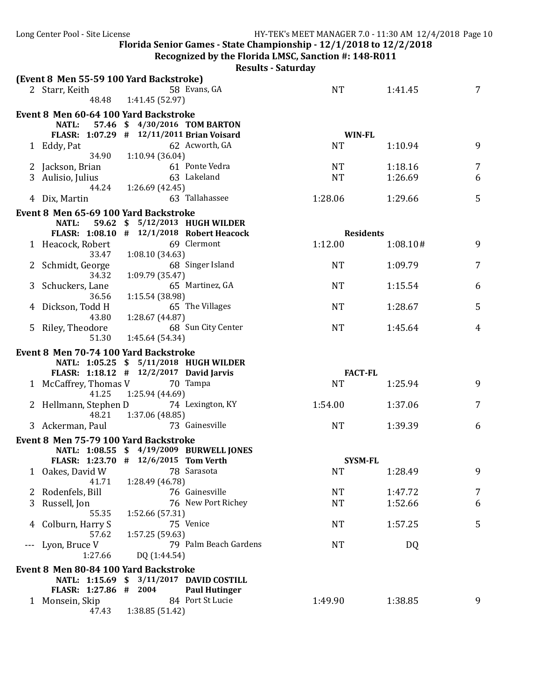**Recognized by the Florida LMSC, Sanction #: 148-R011** 

|   | (Event 8 Men 55-59 100 Yard Backstroke)   |                 |                               |                                                 |                  |          |                |
|---|-------------------------------------------|-----------------|-------------------------------|-------------------------------------------------|------------------|----------|----------------|
|   | 2 Starr, Keith                            |                 | 58 Evans, GA                  |                                                 | <b>NT</b>        | 1:41.45  | 7              |
|   | 48.48                                     | 1:41.45 (52.97) |                               |                                                 |                  |          |                |
|   | Event 8 Men 60-64 100 Yard Backstroke     |                 |                               |                                                 |                  |          |                |
|   | <b>NATL:</b>                              |                 | 57.46 \$ 4/30/2016 TOM BARTON |                                                 |                  |          |                |
|   | FLASR: 1:07.29 # 12/11/2011 Brian Voisard |                 |                               |                                                 | <b>WIN-FL</b>    |          |                |
|   | 1 Eddy, Pat                               |                 | 62 Acworth, GA                |                                                 | <b>NT</b>        | 1:10.94  | 9              |
|   | 34.90                                     | 1:10.94(36.04)  |                               |                                                 |                  |          |                |
|   | 2 Jackson, Brian                          |                 | 61 Ponte Vedra                |                                                 | <b>NT</b>        | 1:18.16  | 7              |
| 3 | Aulisio, Julius                           |                 | 63 Lakeland                   |                                                 | <b>NT</b>        | 1:26.69  | 6              |
|   | 44.24                                     | 1:26.69(42.45)  | 63 Tallahassee                |                                                 | 1:28.06          |          | 5              |
|   | 4 Dix, Martin                             |                 |                               |                                                 |                  | 1:29.66  |                |
|   | Event 8 Men 65-69 100 Yard Backstroke     |                 |                               |                                                 |                  |          |                |
|   | <b>NATL:</b>                              |                 |                               | 59.62 \$ 5/12/2013 HUGH WILDER                  |                  |          |                |
|   | FLASR: 1:08.10 # 12/1/2018 Robert Heacock |                 |                               |                                                 | <b>Residents</b> |          |                |
|   | 1 Heacock, Robert<br>33.47                | 1:08.10(34.63)  | 69 Clermont                   |                                                 | 1:12.00          | 1:08.10# | 9              |
|   | 2 Schmidt, George                         |                 | 68 Singer Island              |                                                 | <b>NT</b>        | 1:09.79  | 7              |
|   | 34.32                                     | 1:09.79(35.47)  |                               |                                                 |                  |          |                |
| 3 | Schuckers, Lane                           |                 | 65 Martinez, GA               |                                                 | <b>NT</b>        | 1:15.54  | 6              |
|   | 36.56                                     | 1:15.54 (38.98) |                               |                                                 |                  |          |                |
|   | Dickson, Todd H                           |                 | 65 The Villages               |                                                 | <b>NT</b>        | 1:28.67  | 5              |
|   | 43.80                                     | 1:28.67 (44.87) |                               |                                                 |                  |          |                |
|   | 5 Riley, Theodore                         |                 |                               | 68 Sun City Center                              | <b>NT</b>        | 1:45.64  | $\overline{4}$ |
|   | 51.30                                     | 1:45.64 (54.34) |                               |                                                 |                  |          |                |
|   |                                           |                 |                               |                                                 |                  |          |                |
|   | Event 8 Men 70-74 100 Yard Backstroke     |                 |                               |                                                 |                  |          |                |
|   | NATL: 1:05.25 \$ 5/11/2018 HUGH WILDER    |                 |                               |                                                 |                  |          |                |
|   | FLASR: 1:18.12 # 12/2/2017 David Jarvis   |                 |                               |                                                 | <b>FACT-FL</b>   |          |                |
|   | 1 McCaffrey, Thomas V                     |                 | 70 Tampa                      |                                                 | <b>NT</b>        | 1:25.94  | 9              |
|   | 41.25                                     | 1:25.94 (44.69) |                               |                                                 |                  |          |                |
|   | 2 Hellmann, Stephen D                     |                 | 74 Lexington, KY              |                                                 | 1:54.00          | 1:37.06  | 7              |
|   | 48.21                                     | 1:37.06 (48.85) |                               |                                                 |                  |          |                |
|   | 3 Ackerman, Paul                          |                 | 73 Gainesville                |                                                 | <b>NT</b>        | 1:39.39  | 6              |
|   | Event 8 Men 75-79 100 Yard Backstroke     |                 |                               |                                                 |                  |          |                |
|   | NATL: 1:08.55 \$ 4/19/2009 BURWELL JONES  |                 |                               |                                                 |                  |          |                |
|   | FLASR: 1:23.70 # 12/6/2015 Tom Verth      |                 |                               |                                                 | <b>SYSM-FL</b>   |          |                |
|   | 1 Oakes, David W                          |                 | 78 Sarasota                   |                                                 | NT               | 1:28.49  | 9              |
|   | 41.71                                     | 1:28.49 (46.78) |                               |                                                 |                  |          |                |
|   | 2 Rodenfels, Bill                         |                 | 76 Gainesville                |                                                 | <b>NT</b>        | 1:47.72  | 7              |
| 3 | Russell, Jon                              |                 |                               | 76 New Port Richey                              | <b>NT</b>        | 1:52.66  | 6              |
|   | 55.35                                     | 1:52.66 (57.31) |                               |                                                 |                  |          |                |
|   | Colburn, Harry S                          |                 | 75 Venice                     |                                                 | <b>NT</b>        | 1:57.25  | 5              |
|   | 57.62                                     | 1:57.25 (59.63) |                               | 79 Palm Beach Gardens                           | <b>NT</b>        |          |                |
|   | Lyon, Bruce V<br>1:27.66                  | DQ (1:44.54)    |                               |                                                 |                  | DQ       |                |
|   |                                           |                 |                               |                                                 |                  |          |                |
|   | Event 8 Men 80-84 100 Yard Backstroke     |                 |                               |                                                 |                  |          |                |
|   | NATL: 1:15.69 \$<br>FLASR: 1:27.86 # 2004 |                 |                               | 3/11/2017 DAVID COSTILL<br><b>Paul Hutinger</b> |                  |          |                |
|   | 1 Monsein, Skip                           |                 | 84 Port St Lucie              |                                                 | 1:49.90          | 1:38.85  | 9              |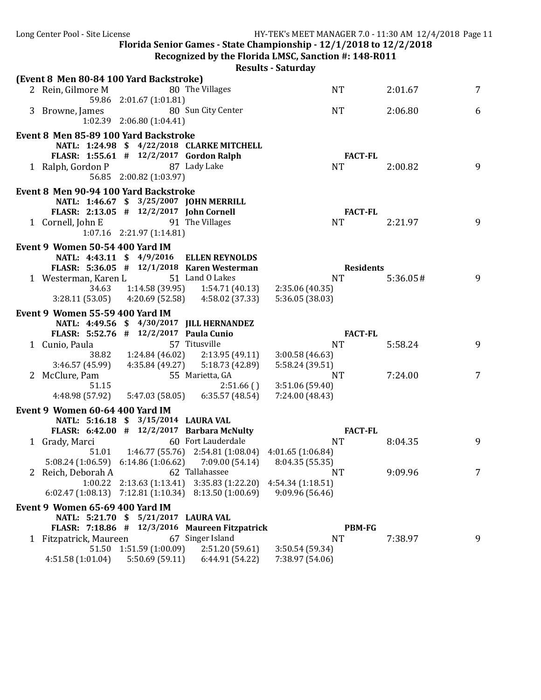Long Center Pool - Site License The Matter of HY-TEK's MEET MANAGER 7.0 - 11:30 AM 12/4/2018 Page 11 Florida Senior Games - State Championship -  $12/1/2018$  to  $12/2/2018$ **Recognized by the Florida LMSC, Sanction #: 148-R011 Results - Saturday (Event 8 Men 80-84 100 Yard Backstroke)** 2 Rein, Gilmore M 80 The Villages NT 2:01.67 7 59.86 2:01.67 (1:01.81) 3 Browne, James 80 Sun City Center 1 1 NT 2:06.80 6 1:02.39 2:06.80 (1:04.41) Event 8 Men 85-89 100 Yard Backstroke **NATL: 1:24.98 \$ 4/22/2018 CLARKE MITCHELL FLASR: 1:55.61 # 12/2/2017 Gordon Ralph FACT-FL** 1 Ralph, Gordon P 87 Lady Lake NT 2:00.82 9 56.85 2:00.82 (1:03.97) Event 8 Men 90-94 100 Yard Backstroke **NATL: 1:46.67 \$ 3/25/2007 JOHN MERRILL FLASR: 2:13.05 # 12/2/2017 John Cornell FACT-FL** 1 Cornell, John E 91 The Villages NT 2:21.97 9 1:07.16 2:21.97 (1:14.81) **Event 9 Women 50-54 400 Yard IM NATL: 4:43.11 \$ 4/9/2016 ELLEN REYNOLDS FLASR: 5:36.05 # 12/1/2018 Karen Westerman Residents Residents Residents Residents** 1 Westerman, Karen L 51 Land O Lakes NT 5:36.05 # 9 34.63 1:14.58 (39.95) 1:54.71 (40.13) 2:35.06 (40.35) 3:28.11 (53.05) 4:20.69 (52.58) 4:58.02 (37.33) 5:36.05 (38.03) **Event 9 Women 55-59 400 Yard IM NATL: 4:49.56 \$ 4/30/2017 JILL HERNANDEZ FLASR: 5:52.76 # 12/2/2017 Paula Cunio FACT-FL** 1 Cunio, Paula 57 Titusville NT 5:58.24 9 38.82 1:24.84 (46.02) 2:13.95 (49.11) 3:00.58 (46.63) 3:46.57 (45.99) 4:35.84 (49.27) 5:18.73 (42.89) 5:58.24 (39.51) 2 McClure, Pam 55 Marietta, GA 13:51.06 (59.40) 7 51.15 51.15 51.15 2:51.66 ( ) 3:51.06 (59.40) 4:48.98 (57.92) 5:47.03 (58.05) 6:35.57 (48.54) 7:24.00 (48.43) **Event 9 Women 60-64 400 Yard IM NATL: 5:16.18 \$ 3/15/2014 LAURA VAL FLASR: 6:42.00 # 12/2/2017 Barbara McNulty FACT-FL** 1 Grady, Marci 60 Fort Lauderdale 1 NT 8:04.35 9 51.01 1:46.77 (55.76) 2:54.81 (1:08.04) 4:01.65 (1:06.84) 5:08.24 (1:06.59) 6:14.86 (1:06.62) 7:09.00 (54.14) 8:04.35 (55.35) 2 Reich, Deborah A 62 Tallahassee NT 9:09.96 7 1:00.22 2:13.63 (1:13.41) 3:35.83 (1:22.20) 4:54.34 (1:18.51) 6:02.47 (1:08.13) 7:12.81 (1:10.34) 8:13.50 (1:00.69) 9:09.96 (56.46) **Event 9 Women 65-69 400 Yard IM NATL: 5:21.70 \$ 5/21/2017 LAURA VAL FLASR: 7:18.86 # 12/3/2016 Maureen Fitzpatrick PBM-FG** 1 Fitzpatrick, Maureen 67 Singer Island NT 7:38.97 51.50 1:51.59 (1:00.09) 2:51.20 (59.61) 3:50.54 (59.34) 51.50 1:51.59 (1:00.09) 4:51.58 (1:01.04) 5:50.69 (59.11) 6:44.91 (54.22) 7:38.97 (54.06)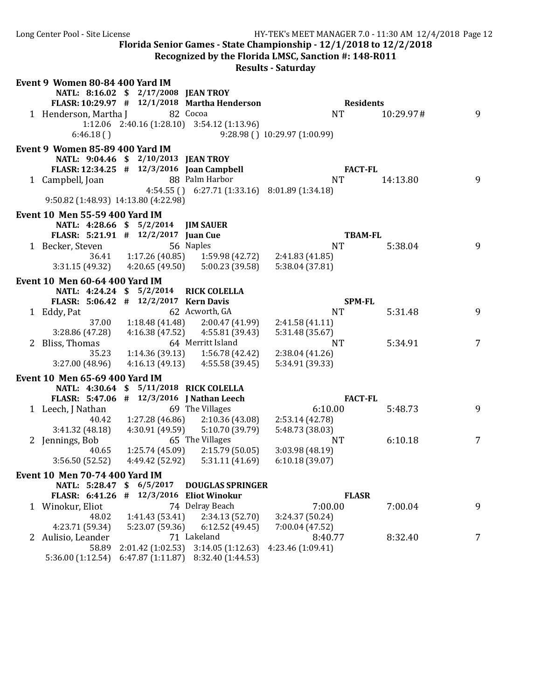| Long Center Pool - Site License                                                |                                         |                                                                   | HY-TEK's MEET MANAGER 7.0 - 11:30 AM 12/4/2018 Page 12<br>Florida Senior Games - State Championship - 12/1/2018 to 12/2/2018<br>Recognized by the Florida LMSC, Sanction #: 148-R011<br><b>Results - Saturday</b> |           |   |
|--------------------------------------------------------------------------------|-----------------------------------------|-------------------------------------------------------------------|-------------------------------------------------------------------------------------------------------------------------------------------------------------------------------------------------------------------|-----------|---|
| Event 9 Women 80-84 400 Yard IM                                                | NATL: 8:16.02 \$ 2/17/2008 JEAN TROY    | FLASR: 10:29.97 # 12/1/2018 Martha Henderson                      | <b>Residents</b>                                                                                                                                                                                                  |           |   |
| 1 Henderson, Martha J<br>6:46.18()                                             |                                         | 82 Cocoa<br>$1:12.06$ $2:40.16$ $(1:28.10)$ $3:54.12$ $(1:13.96)$ | <b>NT</b><br>9:28.98 () 10:29.97 (1:00.99)                                                                                                                                                                        | 10:29.97# | 9 |
| Event 9 Women 85-89 400 Yard IM                                                |                                         |                                                                   |                                                                                                                                                                                                                   |           |   |
| FLASR: 12:34.25 # 12/3/2016 Joan Campbell                                      | NATL: 9:04.46 \$ 2/10/2013 JEAN TROY    |                                                                   | <b>FACT-FL</b>                                                                                                                                                                                                    |           |   |
| 1 Campbell, Joan<br>9:50.82 (1:48.93) 14:13.80 (4:22.98)                       |                                         | 88 Palm Harbor<br>4:54.55 () 6:27.71 (1:33.16) 8:01.89 (1:34.18)  | <b>NT</b>                                                                                                                                                                                                         | 14:13.80  | 9 |
|                                                                                |                                         |                                                                   |                                                                                                                                                                                                                   |           |   |
| <b>Event 10 Men 55-59 400 Yard IM</b><br>FLASR: 5:21.91 # 12/2/2017 Juan Cue   | NATL: 4:28.66 \$ 5/2/2014 JIM SAUER     |                                                                   | <b>TBAM-FL</b>                                                                                                                                                                                                    |           |   |
| 1 Becker, Steven                                                               |                                         | 56 Naples                                                         | <b>NT</b>                                                                                                                                                                                                         | 5:38.04   | 9 |
|                                                                                |                                         | 36.41   1:17.26 (40.85)   1:59.98 (42.72)                         | 2:41.83 (41.85)                                                                                                                                                                                                   |           |   |
|                                                                                |                                         | $3:31.15(49.32)$ $4:20.65(49.50)$ $5:00.23(39.58)$                | 5:38.04 (37.81)                                                                                                                                                                                                   |           |   |
| <b>Event 10 Men 60-64 400 Yard IM</b><br>FLASR: 5:06.42 # 12/2/2017 Kern Davis | NATL: 4:24.24 \$ 5/2/2014               | <b>RICK COLELLA</b>                                               | <b>SPM-FL</b>                                                                                                                                                                                                     |           |   |
| 1 Eddy, Pat                                                                    |                                         | 62 Acworth, GA                                                    | <b>NT</b>                                                                                                                                                                                                         | 5:31.48   | 9 |
| 37.00                                                                          |                                         | $1:18.48(41.48)$ $2:00.47(41.99)$                                 | 2:41.58(41.11)                                                                                                                                                                                                    |           |   |
| 3:28.86(47.28)                                                                 |                                         | $4:16.38(47.52)$ $4:55.81(39.43)$                                 | 5:31.48 (35.67)                                                                                                                                                                                                   |           |   |
| 2 Bliss, Thomas                                                                |                                         | 64 Merritt Island                                                 | <b>NT</b>                                                                                                                                                                                                         | 5:34.91   | 7 |
| 35.23                                                                          |                                         | $1:14.36(39.13)$ $1:56.78(42.42)$                                 | 2:38.04(41.26)                                                                                                                                                                                                    |           |   |
| 3:27.00(48.96)                                                                 |                                         | $4:16.13(49.13)$ $4:55.58(39.45)$                                 | 5:34.91 (39.33)                                                                                                                                                                                                   |           |   |
|                                                                                |                                         |                                                                   |                                                                                                                                                                                                                   |           |   |
| <b>Event 10 Men 65-69 400 Yard IM</b>                                          | NATL: 4:30.64 \$ 5/11/2018 RICK COLELLA |                                                                   |                                                                                                                                                                                                                   |           |   |
| FLASR: 5:47.06 # 12/3/2016   Nathan Leech                                      |                                         |                                                                   | <b>FACT-FL</b>                                                                                                                                                                                                    |           |   |
| 1 Leech, J Nathan                                                              |                                         | 69 The Villages                                                   | 6:10.00                                                                                                                                                                                                           | 5:48.73   | 9 |
|                                                                                |                                         | 40.42 1:27.28 (46.86) 2:10.36 (43.08)                             | 2:53.14 (42.78)                                                                                                                                                                                                   |           |   |
| 3:41.32 (48.18)                                                                | 4:30.91 (49.59)                         | 5:10.70 (39.79)                                                   | 5:48.73 (38.03)                                                                                                                                                                                                   |           |   |
| 2 Jennings, Bob                                                                |                                         | 65 The Villages                                                   | <b>NT</b>                                                                                                                                                                                                         | 6:10.18   | 7 |
| 40.65                                                                          | 1:25.74 (45.09)                         | 2:15.79(50.05)                                                    | 3:03.98 (48.19)                                                                                                                                                                                                   |           |   |
| 3:56.50 (52.52)                                                                | 4:49.42 (52.92)                         | 5:31.11 (41.69)                                                   | 6:10.18(39.07)                                                                                                                                                                                                    |           |   |
| Event 10 Men 70-74 400 Yard IM                                                 |                                         |                                                                   |                                                                                                                                                                                                                   |           |   |
| NATL: 5:28.47                                                                  | 6/5/2017<br>-\$                         | <b>DOUGLAS SPRINGER</b>                                           |                                                                                                                                                                                                                   |           |   |
| <b>FLASR: 6:41.26</b>                                                          | 12/3/2016<br>#                          | <b>Eliot Winokur</b>                                              | <b>FLASR</b>                                                                                                                                                                                                      |           |   |
| 1 Winokur, Eliot                                                               |                                         | 74 Delray Beach                                                   | 7:00.00                                                                                                                                                                                                           | 7:00.04   | 9 |
| 48.02                                                                          | 1:41.43(53.41)                          | 2:34.13 (52.70)                                                   | 3:24.37 (50.24)                                                                                                                                                                                                   |           |   |
| 4:23.71 (59.34)                                                                | 5:23.07 (59.36)                         | 6:12.52 (49.45)                                                   | 7:00.04 (47.52)                                                                                                                                                                                                   |           |   |
| 2 Aulisio, Leander                                                             |                                         | 71 Lakeland                                                       | 8:40.77                                                                                                                                                                                                           | 8:32.40   | 7 |
| 58.89                                                                          |                                         | 2:01.42 (1:02.53) 3:14.05 (1:12.63)                               | 4:23.46 (1:09.41)                                                                                                                                                                                                 |           |   |

5:36.00 (1:12.54) 6:47.87 (1:11.87) 8:32.40 (1:44.53)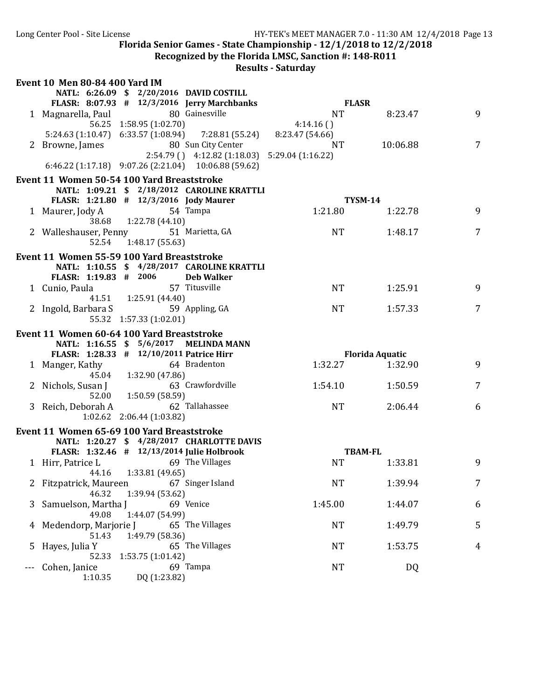Recognized by the Florida LMSC, Sanction #: 148-R011

| NATL: 6:26.09 \$ 2/20/2016 DAVID COSTILL<br>FLASR: 8:07.93 # 12/3/2016 Jerry Marchbanks<br><b>FLASR</b><br>80 Gainesville<br><b>NT</b><br>9<br>1 Magnarella, Paul<br>8:23.47<br>56.25 1:58.95 (1:02.70)<br>4:14.16()<br>5:24.63 (1:10.47) 6:33.57 (1:08.94) 7:28.81 (55.24)<br>8:23.47 (54.66)<br>80 Sun City Center<br>10:06.88<br>$\overline{7}$<br>2 Browne, James<br><b>NT</b><br>$2:54.79$ () $4:12.82$ (1:18.03) $5:29.04$ (1:16.22)<br>6:46.22 (1:17.18) 9:07.26 (2:21.04) 10:06.88 (59.62)<br>Event 11 Women 50-54 100 Yard Breaststroke<br>NATL: 1:09.21 \$ 2/18/2012 CAROLINE KRATTLI<br>FLASR: 1:21.80 # 12/3/2016 Jody Maurer<br><b>TYSM-14</b><br>54 Tampa<br>1:21.80<br>9<br>1 Maurer, Jody A<br>1:22.78<br>38.68 1:22.78 (44.10)<br>$\overline{7}$<br>2 Walleshauser, Penny 51 Marietta, GA<br><b>NT</b><br>1:48.17<br>52.54<br>1:48.17 (55.63)<br>Event 11 Women 55-59 100 Yard Breaststroke<br>NATL: 1:10.55 \$ 4/28/2017 CAROLINE KRATTLI<br>FLASR: 1:19.83 # 2006<br><b>Deb Walker</b><br>57 Titusville<br><b>NT</b><br>9<br>1 Cunio, Paula<br>1:25.91<br>41.51   1:25.91 (44.40)<br>59 Appling, GA<br>2 Ingold, Barbara S<br>$\overline{7}$<br><b>NT</b><br>1:57.33<br>55.32 1:57.33 (1:02.01)<br>Event 11 Women 60-64 100 Yard Breaststroke<br>NATL: 1:16.55 \$ 5/6/2017 MELINDA MANN<br>FLASR: 1:28.33 # 12/10/2011 Patrice Hirr<br><b>Florida Aquatic</b><br>64 Bradenton<br>1:32.27<br>9<br>1 Manger, Kathy<br>1:32.90<br>45.04<br>1:32.90 (47.86)<br>63 Crawfordville<br>2 Nichols, Susan J<br>1:54.10<br>1:50.59<br>7<br>52.00 1:50.59 (58.59)<br>3 Reich, Deborah A 62 Tallahassee<br><b>NT</b><br>2:06.44<br>6<br>1:02.62 2:06.44 (1:03.82)<br>Event 11 Women 65-69 100 Yard Breaststroke<br>NATL: 1:20.27 \$ 4/28/2017 CHARLOTTE DAVIS<br>FLASR: 1:32.46 # 12/13/2014 Julie Holbrook<br><b>TBAM-FL</b><br>69 The Villages<br>1 Hirr, Patrice L<br><b>NT</b><br>9<br>1:33.81<br>44.16  1:33.81 (49.65)<br><b>NT</b><br>$\overline{7}$<br>67 Singer Island<br>1:39.94<br>Fitzpatrick, Maureen<br>46.32<br>1:39.94 (53.62)<br>Samuelson, Martha J<br>69 Venice<br>1:45.00<br>1:44.07<br>6<br>3<br>49.08<br>1:44.07 (54.99)<br>Medendorp, Marjorie J<br>65 The Villages<br><b>NT</b><br>1:49.79<br>5<br>51.43<br>1:49.79 (58.36)<br><b>NT</b><br>1:53.75<br>Hayes, Julia Y<br>65 The Villages<br>4<br>5<br>52.33<br>1:53.75(1:01.42)<br><b>NT</b><br>69 Tampa<br>DQ<br>Cohen, Janice | <b>Event 10 Men 80-84 400 Yard IM</b> |  |  |
|---------------------------------------------------------------------------------------------------------------------------------------------------------------------------------------------------------------------------------------------------------------------------------------------------------------------------------------------------------------------------------------------------------------------------------------------------------------------------------------------------------------------------------------------------------------------------------------------------------------------------------------------------------------------------------------------------------------------------------------------------------------------------------------------------------------------------------------------------------------------------------------------------------------------------------------------------------------------------------------------------------------------------------------------------------------------------------------------------------------------------------------------------------------------------------------------------------------------------------------------------------------------------------------------------------------------------------------------------------------------------------------------------------------------------------------------------------------------------------------------------------------------------------------------------------------------------------------------------------------------------------------------------------------------------------------------------------------------------------------------------------------------------------------------------------------------------------------------------------------------------------------------------------------------------------------------------------------------------------------------------------------------------------------------------------------------------------------------------------------------------------------------------------------------------------------------------------------------------------------------------------------------------------------------------------------------------------------------------------------------------------------------------------------|---------------------------------------|--|--|
|                                                                                                                                                                                                                                                                                                                                                                                                                                                                                                                                                                                                                                                                                                                                                                                                                                                                                                                                                                                                                                                                                                                                                                                                                                                                                                                                                                                                                                                                                                                                                                                                                                                                                                                                                                                                                                                                                                                                                                                                                                                                                                                                                                                                                                                                                                                                                                                                               |                                       |  |  |
|                                                                                                                                                                                                                                                                                                                                                                                                                                                                                                                                                                                                                                                                                                                                                                                                                                                                                                                                                                                                                                                                                                                                                                                                                                                                                                                                                                                                                                                                                                                                                                                                                                                                                                                                                                                                                                                                                                                                                                                                                                                                                                                                                                                                                                                                                                                                                                                                               |                                       |  |  |
|                                                                                                                                                                                                                                                                                                                                                                                                                                                                                                                                                                                                                                                                                                                                                                                                                                                                                                                                                                                                                                                                                                                                                                                                                                                                                                                                                                                                                                                                                                                                                                                                                                                                                                                                                                                                                                                                                                                                                                                                                                                                                                                                                                                                                                                                                                                                                                                                               |                                       |  |  |
|                                                                                                                                                                                                                                                                                                                                                                                                                                                                                                                                                                                                                                                                                                                                                                                                                                                                                                                                                                                                                                                                                                                                                                                                                                                                                                                                                                                                                                                                                                                                                                                                                                                                                                                                                                                                                                                                                                                                                                                                                                                                                                                                                                                                                                                                                                                                                                                                               |                                       |  |  |
|                                                                                                                                                                                                                                                                                                                                                                                                                                                                                                                                                                                                                                                                                                                                                                                                                                                                                                                                                                                                                                                                                                                                                                                                                                                                                                                                                                                                                                                                                                                                                                                                                                                                                                                                                                                                                                                                                                                                                                                                                                                                                                                                                                                                                                                                                                                                                                                                               |                                       |  |  |
|                                                                                                                                                                                                                                                                                                                                                                                                                                                                                                                                                                                                                                                                                                                                                                                                                                                                                                                                                                                                                                                                                                                                                                                                                                                                                                                                                                                                                                                                                                                                                                                                                                                                                                                                                                                                                                                                                                                                                                                                                                                                                                                                                                                                                                                                                                                                                                                                               |                                       |  |  |
|                                                                                                                                                                                                                                                                                                                                                                                                                                                                                                                                                                                                                                                                                                                                                                                                                                                                                                                                                                                                                                                                                                                                                                                                                                                                                                                                                                                                                                                                                                                                                                                                                                                                                                                                                                                                                                                                                                                                                                                                                                                                                                                                                                                                                                                                                                                                                                                                               |                                       |  |  |
|                                                                                                                                                                                                                                                                                                                                                                                                                                                                                                                                                                                                                                                                                                                                                                                                                                                                                                                                                                                                                                                                                                                                                                                                                                                                                                                                                                                                                                                                                                                                                                                                                                                                                                                                                                                                                                                                                                                                                                                                                                                                                                                                                                                                                                                                                                                                                                                                               |                                       |  |  |
|                                                                                                                                                                                                                                                                                                                                                                                                                                                                                                                                                                                                                                                                                                                                                                                                                                                                                                                                                                                                                                                                                                                                                                                                                                                                                                                                                                                                                                                                                                                                                                                                                                                                                                                                                                                                                                                                                                                                                                                                                                                                                                                                                                                                                                                                                                                                                                                                               |                                       |  |  |
|                                                                                                                                                                                                                                                                                                                                                                                                                                                                                                                                                                                                                                                                                                                                                                                                                                                                                                                                                                                                                                                                                                                                                                                                                                                                                                                                                                                                                                                                                                                                                                                                                                                                                                                                                                                                                                                                                                                                                                                                                                                                                                                                                                                                                                                                                                                                                                                                               |                                       |  |  |
|                                                                                                                                                                                                                                                                                                                                                                                                                                                                                                                                                                                                                                                                                                                                                                                                                                                                                                                                                                                                                                                                                                                                                                                                                                                                                                                                                                                                                                                                                                                                                                                                                                                                                                                                                                                                                                                                                                                                                                                                                                                                                                                                                                                                                                                                                                                                                                                                               |                                       |  |  |
|                                                                                                                                                                                                                                                                                                                                                                                                                                                                                                                                                                                                                                                                                                                                                                                                                                                                                                                                                                                                                                                                                                                                                                                                                                                                                                                                                                                                                                                                                                                                                                                                                                                                                                                                                                                                                                                                                                                                                                                                                                                                                                                                                                                                                                                                                                                                                                                                               |                                       |  |  |
|                                                                                                                                                                                                                                                                                                                                                                                                                                                                                                                                                                                                                                                                                                                                                                                                                                                                                                                                                                                                                                                                                                                                                                                                                                                                                                                                                                                                                                                                                                                                                                                                                                                                                                                                                                                                                                                                                                                                                                                                                                                                                                                                                                                                                                                                                                                                                                                                               |                                       |  |  |
|                                                                                                                                                                                                                                                                                                                                                                                                                                                                                                                                                                                                                                                                                                                                                                                                                                                                                                                                                                                                                                                                                                                                                                                                                                                                                                                                                                                                                                                                                                                                                                                                                                                                                                                                                                                                                                                                                                                                                                                                                                                                                                                                                                                                                                                                                                                                                                                                               |                                       |  |  |
|                                                                                                                                                                                                                                                                                                                                                                                                                                                                                                                                                                                                                                                                                                                                                                                                                                                                                                                                                                                                                                                                                                                                                                                                                                                                                                                                                                                                                                                                                                                                                                                                                                                                                                                                                                                                                                                                                                                                                                                                                                                                                                                                                                                                                                                                                                                                                                                                               |                                       |  |  |
|                                                                                                                                                                                                                                                                                                                                                                                                                                                                                                                                                                                                                                                                                                                                                                                                                                                                                                                                                                                                                                                                                                                                                                                                                                                                                                                                                                                                                                                                                                                                                                                                                                                                                                                                                                                                                                                                                                                                                                                                                                                                                                                                                                                                                                                                                                                                                                                                               |                                       |  |  |
|                                                                                                                                                                                                                                                                                                                                                                                                                                                                                                                                                                                                                                                                                                                                                                                                                                                                                                                                                                                                                                                                                                                                                                                                                                                                                                                                                                                                                                                                                                                                                                                                                                                                                                                                                                                                                                                                                                                                                                                                                                                                                                                                                                                                                                                                                                                                                                                                               |                                       |  |  |
|                                                                                                                                                                                                                                                                                                                                                                                                                                                                                                                                                                                                                                                                                                                                                                                                                                                                                                                                                                                                                                                                                                                                                                                                                                                                                                                                                                                                                                                                                                                                                                                                                                                                                                                                                                                                                                                                                                                                                                                                                                                                                                                                                                                                                                                                                                                                                                                                               |                                       |  |  |
|                                                                                                                                                                                                                                                                                                                                                                                                                                                                                                                                                                                                                                                                                                                                                                                                                                                                                                                                                                                                                                                                                                                                                                                                                                                                                                                                                                                                                                                                                                                                                                                                                                                                                                                                                                                                                                                                                                                                                                                                                                                                                                                                                                                                                                                                                                                                                                                                               |                                       |  |  |
|                                                                                                                                                                                                                                                                                                                                                                                                                                                                                                                                                                                                                                                                                                                                                                                                                                                                                                                                                                                                                                                                                                                                                                                                                                                                                                                                                                                                                                                                                                                                                                                                                                                                                                                                                                                                                                                                                                                                                                                                                                                                                                                                                                                                                                                                                                                                                                                                               |                                       |  |  |
|                                                                                                                                                                                                                                                                                                                                                                                                                                                                                                                                                                                                                                                                                                                                                                                                                                                                                                                                                                                                                                                                                                                                                                                                                                                                                                                                                                                                                                                                                                                                                                                                                                                                                                                                                                                                                                                                                                                                                                                                                                                                                                                                                                                                                                                                                                                                                                                                               |                                       |  |  |
|                                                                                                                                                                                                                                                                                                                                                                                                                                                                                                                                                                                                                                                                                                                                                                                                                                                                                                                                                                                                                                                                                                                                                                                                                                                                                                                                                                                                                                                                                                                                                                                                                                                                                                                                                                                                                                                                                                                                                                                                                                                                                                                                                                                                                                                                                                                                                                                                               |                                       |  |  |
|                                                                                                                                                                                                                                                                                                                                                                                                                                                                                                                                                                                                                                                                                                                                                                                                                                                                                                                                                                                                                                                                                                                                                                                                                                                                                                                                                                                                                                                                                                                                                                                                                                                                                                                                                                                                                                                                                                                                                                                                                                                                                                                                                                                                                                                                                                                                                                                                               |                                       |  |  |
|                                                                                                                                                                                                                                                                                                                                                                                                                                                                                                                                                                                                                                                                                                                                                                                                                                                                                                                                                                                                                                                                                                                                                                                                                                                                                                                                                                                                                                                                                                                                                                                                                                                                                                                                                                                                                                                                                                                                                                                                                                                                                                                                                                                                                                                                                                                                                                                                               |                                       |  |  |
|                                                                                                                                                                                                                                                                                                                                                                                                                                                                                                                                                                                                                                                                                                                                                                                                                                                                                                                                                                                                                                                                                                                                                                                                                                                                                                                                                                                                                                                                                                                                                                                                                                                                                                                                                                                                                                                                                                                                                                                                                                                                                                                                                                                                                                                                                                                                                                                                               |                                       |  |  |
|                                                                                                                                                                                                                                                                                                                                                                                                                                                                                                                                                                                                                                                                                                                                                                                                                                                                                                                                                                                                                                                                                                                                                                                                                                                                                                                                                                                                                                                                                                                                                                                                                                                                                                                                                                                                                                                                                                                                                                                                                                                                                                                                                                                                                                                                                                                                                                                                               |                                       |  |  |
|                                                                                                                                                                                                                                                                                                                                                                                                                                                                                                                                                                                                                                                                                                                                                                                                                                                                                                                                                                                                                                                                                                                                                                                                                                                                                                                                                                                                                                                                                                                                                                                                                                                                                                                                                                                                                                                                                                                                                                                                                                                                                                                                                                                                                                                                                                                                                                                                               |                                       |  |  |
|                                                                                                                                                                                                                                                                                                                                                                                                                                                                                                                                                                                                                                                                                                                                                                                                                                                                                                                                                                                                                                                                                                                                                                                                                                                                                                                                                                                                                                                                                                                                                                                                                                                                                                                                                                                                                                                                                                                                                                                                                                                                                                                                                                                                                                                                                                                                                                                                               |                                       |  |  |
|                                                                                                                                                                                                                                                                                                                                                                                                                                                                                                                                                                                                                                                                                                                                                                                                                                                                                                                                                                                                                                                                                                                                                                                                                                                                                                                                                                                                                                                                                                                                                                                                                                                                                                                                                                                                                                                                                                                                                                                                                                                                                                                                                                                                                                                                                                                                                                                                               |                                       |  |  |
|                                                                                                                                                                                                                                                                                                                                                                                                                                                                                                                                                                                                                                                                                                                                                                                                                                                                                                                                                                                                                                                                                                                                                                                                                                                                                                                                                                                                                                                                                                                                                                                                                                                                                                                                                                                                                                                                                                                                                                                                                                                                                                                                                                                                                                                                                                                                                                                                               |                                       |  |  |
|                                                                                                                                                                                                                                                                                                                                                                                                                                                                                                                                                                                                                                                                                                                                                                                                                                                                                                                                                                                                                                                                                                                                                                                                                                                                                                                                                                                                                                                                                                                                                                                                                                                                                                                                                                                                                                                                                                                                                                                                                                                                                                                                                                                                                                                                                                                                                                                                               |                                       |  |  |
|                                                                                                                                                                                                                                                                                                                                                                                                                                                                                                                                                                                                                                                                                                                                                                                                                                                                                                                                                                                                                                                                                                                                                                                                                                                                                                                                                                                                                                                                                                                                                                                                                                                                                                                                                                                                                                                                                                                                                                                                                                                                                                                                                                                                                                                                                                                                                                                                               |                                       |  |  |
|                                                                                                                                                                                                                                                                                                                                                                                                                                                                                                                                                                                                                                                                                                                                                                                                                                                                                                                                                                                                                                                                                                                                                                                                                                                                                                                                                                                                                                                                                                                                                                                                                                                                                                                                                                                                                                                                                                                                                                                                                                                                                                                                                                                                                                                                                                                                                                                                               |                                       |  |  |
|                                                                                                                                                                                                                                                                                                                                                                                                                                                                                                                                                                                                                                                                                                                                                                                                                                                                                                                                                                                                                                                                                                                                                                                                                                                                                                                                                                                                                                                                                                                                                                                                                                                                                                                                                                                                                                                                                                                                                                                                                                                                                                                                                                                                                                                                                                                                                                                                               |                                       |  |  |
|                                                                                                                                                                                                                                                                                                                                                                                                                                                                                                                                                                                                                                                                                                                                                                                                                                                                                                                                                                                                                                                                                                                                                                                                                                                                                                                                                                                                                                                                                                                                                                                                                                                                                                                                                                                                                                                                                                                                                                                                                                                                                                                                                                                                                                                                                                                                                                                                               |                                       |  |  |
|                                                                                                                                                                                                                                                                                                                                                                                                                                                                                                                                                                                                                                                                                                                                                                                                                                                                                                                                                                                                                                                                                                                                                                                                                                                                                                                                                                                                                                                                                                                                                                                                                                                                                                                                                                                                                                                                                                                                                                                                                                                                                                                                                                                                                                                                                                                                                                                                               |                                       |  |  |
|                                                                                                                                                                                                                                                                                                                                                                                                                                                                                                                                                                                                                                                                                                                                                                                                                                                                                                                                                                                                                                                                                                                                                                                                                                                                                                                                                                                                                                                                                                                                                                                                                                                                                                                                                                                                                                                                                                                                                                                                                                                                                                                                                                                                                                                                                                                                                                                                               |                                       |  |  |
|                                                                                                                                                                                                                                                                                                                                                                                                                                                                                                                                                                                                                                                                                                                                                                                                                                                                                                                                                                                                                                                                                                                                                                                                                                                                                                                                                                                                                                                                                                                                                                                                                                                                                                                                                                                                                                                                                                                                                                                                                                                                                                                                                                                                                                                                                                                                                                                                               |                                       |  |  |
|                                                                                                                                                                                                                                                                                                                                                                                                                                                                                                                                                                                                                                                                                                                                                                                                                                                                                                                                                                                                                                                                                                                                                                                                                                                                                                                                                                                                                                                                                                                                                                                                                                                                                                                                                                                                                                                                                                                                                                                                                                                                                                                                                                                                                                                                                                                                                                                                               |                                       |  |  |
|                                                                                                                                                                                                                                                                                                                                                                                                                                                                                                                                                                                                                                                                                                                                                                                                                                                                                                                                                                                                                                                                                                                                                                                                                                                                                                                                                                                                                                                                                                                                                                                                                                                                                                                                                                                                                                                                                                                                                                                                                                                                                                                                                                                                                                                                                                                                                                                                               |                                       |  |  |
|                                                                                                                                                                                                                                                                                                                                                                                                                                                                                                                                                                                                                                                                                                                                                                                                                                                                                                                                                                                                                                                                                                                                                                                                                                                                                                                                                                                                                                                                                                                                                                                                                                                                                                                                                                                                                                                                                                                                                                                                                                                                                                                                                                                                                                                                                                                                                                                                               |                                       |  |  |
|                                                                                                                                                                                                                                                                                                                                                                                                                                                                                                                                                                                                                                                                                                                                                                                                                                                                                                                                                                                                                                                                                                                                                                                                                                                                                                                                                                                                                                                                                                                                                                                                                                                                                                                                                                                                                                                                                                                                                                                                                                                                                                                                                                                                                                                                                                                                                                                                               |                                       |  |  |
|                                                                                                                                                                                                                                                                                                                                                                                                                                                                                                                                                                                                                                                                                                                                                                                                                                                                                                                                                                                                                                                                                                                                                                                                                                                                                                                                                                                                                                                                                                                                                                                                                                                                                                                                                                                                                                                                                                                                                                                                                                                                                                                                                                                                                                                                                                                                                                                                               |                                       |  |  |
|                                                                                                                                                                                                                                                                                                                                                                                                                                                                                                                                                                                                                                                                                                                                                                                                                                                                                                                                                                                                                                                                                                                                                                                                                                                                                                                                                                                                                                                                                                                                                                                                                                                                                                                                                                                                                                                                                                                                                                                                                                                                                                                                                                                                                                                                                                                                                                                                               |                                       |  |  |
|                                                                                                                                                                                                                                                                                                                                                                                                                                                                                                                                                                                                                                                                                                                                                                                                                                                                                                                                                                                                                                                                                                                                                                                                                                                                                                                                                                                                                                                                                                                                                                                                                                                                                                                                                                                                                                                                                                                                                                                                                                                                                                                                                                                                                                                                                                                                                                                                               |                                       |  |  |
|                                                                                                                                                                                                                                                                                                                                                                                                                                                                                                                                                                                                                                                                                                                                                                                                                                                                                                                                                                                                                                                                                                                                                                                                                                                                                                                                                                                                                                                                                                                                                                                                                                                                                                                                                                                                                                                                                                                                                                                                                                                                                                                                                                                                                                                                                                                                                                                                               |                                       |  |  |
|                                                                                                                                                                                                                                                                                                                                                                                                                                                                                                                                                                                                                                                                                                                                                                                                                                                                                                                                                                                                                                                                                                                                                                                                                                                                                                                                                                                                                                                                                                                                                                                                                                                                                                                                                                                                                                                                                                                                                                                                                                                                                                                                                                                                                                                                                                                                                                                                               |                                       |  |  |
|                                                                                                                                                                                                                                                                                                                                                                                                                                                                                                                                                                                                                                                                                                                                                                                                                                                                                                                                                                                                                                                                                                                                                                                                                                                                                                                                                                                                                                                                                                                                                                                                                                                                                                                                                                                                                                                                                                                                                                                                                                                                                                                                                                                                                                                                                                                                                                                                               | 1:10.35<br>DQ (1:23.82)               |  |  |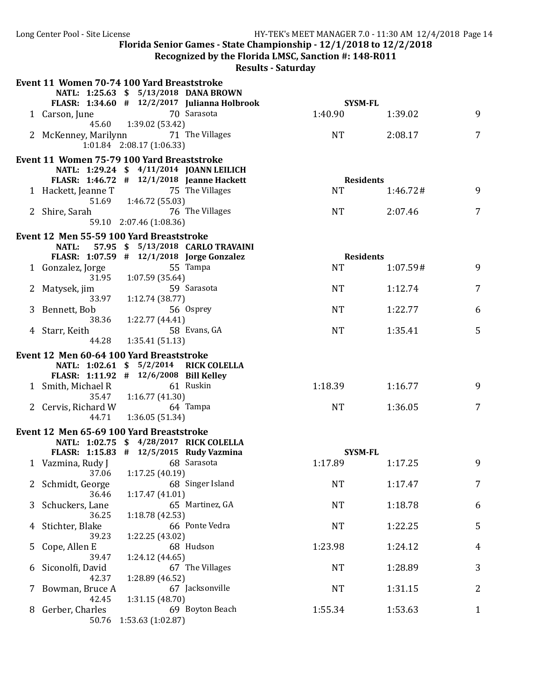Long Center Pool - Site License **HY-TEK's MEET MANAGER 7.0 - 11:30 AM 12/4/2018** Page 14

Florida Senior Games - State Championship -  $12/1/2018$  to  $12/2/2018$ 

**Recognized by the Florida LMSC, Sanction #: 148-R011** 

| NATL: 1:25.63 \$ 5/13/2018 DANA BROWN<br>FLASR: 1:34.60 # 12/2/2017 Julianna Holbrook<br><b>SYSM-FL</b><br>70 Sarasota<br>1:40.90<br>9<br>1 Carson, June<br>1:39.02<br>45.60 1:39.02 (53.42)<br>2 McKenney, Marilynn 71 The Villages<br>7<br>NT<br>2:08.17<br>1:01.84 2:08.17 (1:06.33)<br>Event 11 Women 75-79 100 Yard Breaststroke<br>NATL: 1:29.24 \$ 4/11/2014 JOANN LEILICH<br>FLASR: 1:46.72 # 12/1/2018 Jeanne Hackett<br><b>Residents</b><br>75 The Villages<br><b>NT</b><br>9<br>1 Hackett, Jeanne T<br>1:46.72#<br>51.69 1:46.72 (55.03)<br>76 The Villages<br>7<br><b>NT</b><br>2:07.46<br>2 Shire, Sarah<br>59.10 2:07.46 (1:08.36)<br>Event 12 Men 55-59 100 Yard Breaststroke<br>57.95 \$ 5/13/2018 CARLO TRAVAINI<br><b>NATL:</b><br>FLASR: 1:07.59 # 12/1/2018 Jorge Gonzalez<br><b>Residents</b><br><b>NT</b><br>1 Gonzalez, Jorge<br>55 Tampa<br>9<br>1:07.59#<br>31.95<br>1:07.59(35.64)<br>59 Sarasota<br>7<br>2 Matysek, jim<br><b>NT</b><br>1:12.74<br>33.97<br>1:12.74(38.77)<br>56 Osprey<br>3 Bennett, Bob<br><b>NT</b><br>1:22.77<br>6<br>38.36<br>1:22.77 (44.41)<br>58 Evans, GA<br>5<br>1:35.41<br>4 Starr, Keith<br><b>NT</b><br>44.28<br>1:35.41(51.13)<br>Event 12 Men 60-64 100 Yard Breaststroke<br>NATL: 1:02.61 \$ 5/2/2014 RICK COLELLA<br>FLASR: 1:11.92 # 12/6/2008 Bill Kelley<br>1 Smith, Michael R<br>61 Ruskin<br>1:18.39<br>1:16.77<br>9<br>35.47<br>1:16.77 (41.30)<br>2 Cervis, Richard W<br>64 Tampa<br>7<br><b>NT</b><br>1:36.05<br>1:36.05 (51.34)<br>44.71<br>Event 12 Men 65-69 100 Yard Breaststroke<br>NATL: 1:02.75 \$ 4/28/2017 RICK COLELLA<br>FLASR: 1:15.83 # 12/5/2015 Rudy Vazmina<br><b>SYSM-FL</b><br>1:17.89<br>1 Vazmina, Rudy J<br>68 Sarasota<br>1:17.25<br>9<br>37.06 1:17.25 (40.19)<br>7<br>68 Singer Island<br><b>NT</b><br>1:17.47<br>Schmidt, George<br>2<br>36.46<br>1:17.47(41.01)<br>Schuckers, Lane<br>65 Martinez, GA<br><b>NT</b><br>1:18.78<br>6<br>3<br>36.25<br>1:18.78 (42.53)<br>66 Ponte Vedra<br>5<br>Stichter, Blake<br><b>NT</b><br>1:22.25<br>4<br>1:22.25 (43.02)<br>39.23<br>68 Hudson<br>Cope, Allen E<br>1:23.98<br>1:24.12<br>$\overline{4}$<br>5<br>39.47<br>1:24.12 (44.65)<br>3<br>Siconolfi, David<br>67 The Villages<br><b>NT</b><br>1:28.89<br>b<br>42.37<br>1:28.89 (46.52)<br>2<br>67 Jacksonville<br><b>NT</b><br>1:31.15<br>Bowman, Bruce A<br>Z.<br>1:31.15 (48.70)<br>42.45<br>69 Boyton Beach<br>Gerber, Charles<br>1:55.34<br>1:53.63<br>$\mathbf{1}$<br>8.<br>1:53.63 (1:02.87)<br>50.76 | Event 11 Women 70-74 100 Yard Breaststroke |  |  |  |
|-------------------------------------------------------------------------------------------------------------------------------------------------------------------------------------------------------------------------------------------------------------------------------------------------------------------------------------------------------------------------------------------------------------------------------------------------------------------------------------------------------------------------------------------------------------------------------------------------------------------------------------------------------------------------------------------------------------------------------------------------------------------------------------------------------------------------------------------------------------------------------------------------------------------------------------------------------------------------------------------------------------------------------------------------------------------------------------------------------------------------------------------------------------------------------------------------------------------------------------------------------------------------------------------------------------------------------------------------------------------------------------------------------------------------------------------------------------------------------------------------------------------------------------------------------------------------------------------------------------------------------------------------------------------------------------------------------------------------------------------------------------------------------------------------------------------------------------------------------------------------------------------------------------------------------------------------------------------------------------------------------------------------------------------------------------------------------------------------------------------------------------------------------------------------------------------------------------------------------------------------------------------------------------------------------------------------------------------------------------------------------------------------------------------------------------------------------------------------------------------------------|--------------------------------------------|--|--|--|
|                                                                                                                                                                                                                                                                                                                                                                                                                                                                                                                                                                                                                                                                                                                                                                                                                                                                                                                                                                                                                                                                                                                                                                                                                                                                                                                                                                                                                                                                                                                                                                                                                                                                                                                                                                                                                                                                                                                                                                                                                                                                                                                                                                                                                                                                                                                                                                                                                                                                                                       |                                            |  |  |  |
|                                                                                                                                                                                                                                                                                                                                                                                                                                                                                                                                                                                                                                                                                                                                                                                                                                                                                                                                                                                                                                                                                                                                                                                                                                                                                                                                                                                                                                                                                                                                                                                                                                                                                                                                                                                                                                                                                                                                                                                                                                                                                                                                                                                                                                                                                                                                                                                                                                                                                                       |                                            |  |  |  |
|                                                                                                                                                                                                                                                                                                                                                                                                                                                                                                                                                                                                                                                                                                                                                                                                                                                                                                                                                                                                                                                                                                                                                                                                                                                                                                                                                                                                                                                                                                                                                                                                                                                                                                                                                                                                                                                                                                                                                                                                                                                                                                                                                                                                                                                                                                                                                                                                                                                                                                       |                                            |  |  |  |
|                                                                                                                                                                                                                                                                                                                                                                                                                                                                                                                                                                                                                                                                                                                                                                                                                                                                                                                                                                                                                                                                                                                                                                                                                                                                                                                                                                                                                                                                                                                                                                                                                                                                                                                                                                                                                                                                                                                                                                                                                                                                                                                                                                                                                                                                                                                                                                                                                                                                                                       |                                            |  |  |  |
|                                                                                                                                                                                                                                                                                                                                                                                                                                                                                                                                                                                                                                                                                                                                                                                                                                                                                                                                                                                                                                                                                                                                                                                                                                                                                                                                                                                                                                                                                                                                                                                                                                                                                                                                                                                                                                                                                                                                                                                                                                                                                                                                                                                                                                                                                                                                                                                                                                                                                                       |                                            |  |  |  |
|                                                                                                                                                                                                                                                                                                                                                                                                                                                                                                                                                                                                                                                                                                                                                                                                                                                                                                                                                                                                                                                                                                                                                                                                                                                                                                                                                                                                                                                                                                                                                                                                                                                                                                                                                                                                                                                                                                                                                                                                                                                                                                                                                                                                                                                                                                                                                                                                                                                                                                       |                                            |  |  |  |
|                                                                                                                                                                                                                                                                                                                                                                                                                                                                                                                                                                                                                                                                                                                                                                                                                                                                                                                                                                                                                                                                                                                                                                                                                                                                                                                                                                                                                                                                                                                                                                                                                                                                                                                                                                                                                                                                                                                                                                                                                                                                                                                                                                                                                                                                                                                                                                                                                                                                                                       |                                            |  |  |  |
|                                                                                                                                                                                                                                                                                                                                                                                                                                                                                                                                                                                                                                                                                                                                                                                                                                                                                                                                                                                                                                                                                                                                                                                                                                                                                                                                                                                                                                                                                                                                                                                                                                                                                                                                                                                                                                                                                                                                                                                                                                                                                                                                                                                                                                                                                                                                                                                                                                                                                                       |                                            |  |  |  |
|                                                                                                                                                                                                                                                                                                                                                                                                                                                                                                                                                                                                                                                                                                                                                                                                                                                                                                                                                                                                                                                                                                                                                                                                                                                                                                                                                                                                                                                                                                                                                                                                                                                                                                                                                                                                                                                                                                                                                                                                                                                                                                                                                                                                                                                                                                                                                                                                                                                                                                       |                                            |  |  |  |
|                                                                                                                                                                                                                                                                                                                                                                                                                                                                                                                                                                                                                                                                                                                                                                                                                                                                                                                                                                                                                                                                                                                                                                                                                                                                                                                                                                                                                                                                                                                                                                                                                                                                                                                                                                                                                                                                                                                                                                                                                                                                                                                                                                                                                                                                                                                                                                                                                                                                                                       |                                            |  |  |  |
|                                                                                                                                                                                                                                                                                                                                                                                                                                                                                                                                                                                                                                                                                                                                                                                                                                                                                                                                                                                                                                                                                                                                                                                                                                                                                                                                                                                                                                                                                                                                                                                                                                                                                                                                                                                                                                                                                                                                                                                                                                                                                                                                                                                                                                                                                                                                                                                                                                                                                                       |                                            |  |  |  |
|                                                                                                                                                                                                                                                                                                                                                                                                                                                                                                                                                                                                                                                                                                                                                                                                                                                                                                                                                                                                                                                                                                                                                                                                                                                                                                                                                                                                                                                                                                                                                                                                                                                                                                                                                                                                                                                                                                                                                                                                                                                                                                                                                                                                                                                                                                                                                                                                                                                                                                       |                                            |  |  |  |
|                                                                                                                                                                                                                                                                                                                                                                                                                                                                                                                                                                                                                                                                                                                                                                                                                                                                                                                                                                                                                                                                                                                                                                                                                                                                                                                                                                                                                                                                                                                                                                                                                                                                                                                                                                                                                                                                                                                                                                                                                                                                                                                                                                                                                                                                                                                                                                                                                                                                                                       |                                            |  |  |  |
|                                                                                                                                                                                                                                                                                                                                                                                                                                                                                                                                                                                                                                                                                                                                                                                                                                                                                                                                                                                                                                                                                                                                                                                                                                                                                                                                                                                                                                                                                                                                                                                                                                                                                                                                                                                                                                                                                                                                                                                                                                                                                                                                                                                                                                                                                                                                                                                                                                                                                                       |                                            |  |  |  |
|                                                                                                                                                                                                                                                                                                                                                                                                                                                                                                                                                                                                                                                                                                                                                                                                                                                                                                                                                                                                                                                                                                                                                                                                                                                                                                                                                                                                                                                                                                                                                                                                                                                                                                                                                                                                                                                                                                                                                                                                                                                                                                                                                                                                                                                                                                                                                                                                                                                                                                       |                                            |  |  |  |
|                                                                                                                                                                                                                                                                                                                                                                                                                                                                                                                                                                                                                                                                                                                                                                                                                                                                                                                                                                                                                                                                                                                                                                                                                                                                                                                                                                                                                                                                                                                                                                                                                                                                                                                                                                                                                                                                                                                                                                                                                                                                                                                                                                                                                                                                                                                                                                                                                                                                                                       |                                            |  |  |  |
|                                                                                                                                                                                                                                                                                                                                                                                                                                                                                                                                                                                                                                                                                                                                                                                                                                                                                                                                                                                                                                                                                                                                                                                                                                                                                                                                                                                                                                                                                                                                                                                                                                                                                                                                                                                                                                                                                                                                                                                                                                                                                                                                                                                                                                                                                                                                                                                                                                                                                                       |                                            |  |  |  |
|                                                                                                                                                                                                                                                                                                                                                                                                                                                                                                                                                                                                                                                                                                                                                                                                                                                                                                                                                                                                                                                                                                                                                                                                                                                                                                                                                                                                                                                                                                                                                                                                                                                                                                                                                                                                                                                                                                                                                                                                                                                                                                                                                                                                                                                                                                                                                                                                                                                                                                       |                                            |  |  |  |
|                                                                                                                                                                                                                                                                                                                                                                                                                                                                                                                                                                                                                                                                                                                                                                                                                                                                                                                                                                                                                                                                                                                                                                                                                                                                                                                                                                                                                                                                                                                                                                                                                                                                                                                                                                                                                                                                                                                                                                                                                                                                                                                                                                                                                                                                                                                                                                                                                                                                                                       |                                            |  |  |  |
|                                                                                                                                                                                                                                                                                                                                                                                                                                                                                                                                                                                                                                                                                                                                                                                                                                                                                                                                                                                                                                                                                                                                                                                                                                                                                                                                                                                                                                                                                                                                                                                                                                                                                                                                                                                                                                                                                                                                                                                                                                                                                                                                                                                                                                                                                                                                                                                                                                                                                                       |                                            |  |  |  |
|                                                                                                                                                                                                                                                                                                                                                                                                                                                                                                                                                                                                                                                                                                                                                                                                                                                                                                                                                                                                                                                                                                                                                                                                                                                                                                                                                                                                                                                                                                                                                                                                                                                                                                                                                                                                                                                                                                                                                                                                                                                                                                                                                                                                                                                                                                                                                                                                                                                                                                       |                                            |  |  |  |
|                                                                                                                                                                                                                                                                                                                                                                                                                                                                                                                                                                                                                                                                                                                                                                                                                                                                                                                                                                                                                                                                                                                                                                                                                                                                                                                                                                                                                                                                                                                                                                                                                                                                                                                                                                                                                                                                                                                                                                                                                                                                                                                                                                                                                                                                                                                                                                                                                                                                                                       |                                            |  |  |  |
|                                                                                                                                                                                                                                                                                                                                                                                                                                                                                                                                                                                                                                                                                                                                                                                                                                                                                                                                                                                                                                                                                                                                                                                                                                                                                                                                                                                                                                                                                                                                                                                                                                                                                                                                                                                                                                                                                                                                                                                                                                                                                                                                                                                                                                                                                                                                                                                                                                                                                                       |                                            |  |  |  |
|                                                                                                                                                                                                                                                                                                                                                                                                                                                                                                                                                                                                                                                                                                                                                                                                                                                                                                                                                                                                                                                                                                                                                                                                                                                                                                                                                                                                                                                                                                                                                                                                                                                                                                                                                                                                                                                                                                                                                                                                                                                                                                                                                                                                                                                                                                                                                                                                                                                                                                       |                                            |  |  |  |
|                                                                                                                                                                                                                                                                                                                                                                                                                                                                                                                                                                                                                                                                                                                                                                                                                                                                                                                                                                                                                                                                                                                                                                                                                                                                                                                                                                                                                                                                                                                                                                                                                                                                                                                                                                                                                                                                                                                                                                                                                                                                                                                                                                                                                                                                                                                                                                                                                                                                                                       |                                            |  |  |  |
|                                                                                                                                                                                                                                                                                                                                                                                                                                                                                                                                                                                                                                                                                                                                                                                                                                                                                                                                                                                                                                                                                                                                                                                                                                                                                                                                                                                                                                                                                                                                                                                                                                                                                                                                                                                                                                                                                                                                                                                                                                                                                                                                                                                                                                                                                                                                                                                                                                                                                                       |                                            |  |  |  |
|                                                                                                                                                                                                                                                                                                                                                                                                                                                                                                                                                                                                                                                                                                                                                                                                                                                                                                                                                                                                                                                                                                                                                                                                                                                                                                                                                                                                                                                                                                                                                                                                                                                                                                                                                                                                                                                                                                                                                                                                                                                                                                                                                                                                                                                                                                                                                                                                                                                                                                       |                                            |  |  |  |
|                                                                                                                                                                                                                                                                                                                                                                                                                                                                                                                                                                                                                                                                                                                                                                                                                                                                                                                                                                                                                                                                                                                                                                                                                                                                                                                                                                                                                                                                                                                                                                                                                                                                                                                                                                                                                                                                                                                                                                                                                                                                                                                                                                                                                                                                                                                                                                                                                                                                                                       |                                            |  |  |  |
|                                                                                                                                                                                                                                                                                                                                                                                                                                                                                                                                                                                                                                                                                                                                                                                                                                                                                                                                                                                                                                                                                                                                                                                                                                                                                                                                                                                                                                                                                                                                                                                                                                                                                                                                                                                                                                                                                                                                                                                                                                                                                                                                                                                                                                                                                                                                                                                                                                                                                                       |                                            |  |  |  |
|                                                                                                                                                                                                                                                                                                                                                                                                                                                                                                                                                                                                                                                                                                                                                                                                                                                                                                                                                                                                                                                                                                                                                                                                                                                                                                                                                                                                                                                                                                                                                                                                                                                                                                                                                                                                                                                                                                                                                                                                                                                                                                                                                                                                                                                                                                                                                                                                                                                                                                       |                                            |  |  |  |
|                                                                                                                                                                                                                                                                                                                                                                                                                                                                                                                                                                                                                                                                                                                                                                                                                                                                                                                                                                                                                                                                                                                                                                                                                                                                                                                                                                                                                                                                                                                                                                                                                                                                                                                                                                                                                                                                                                                                                                                                                                                                                                                                                                                                                                                                                                                                                                                                                                                                                                       |                                            |  |  |  |
|                                                                                                                                                                                                                                                                                                                                                                                                                                                                                                                                                                                                                                                                                                                                                                                                                                                                                                                                                                                                                                                                                                                                                                                                                                                                                                                                                                                                                                                                                                                                                                                                                                                                                                                                                                                                                                                                                                                                                                                                                                                                                                                                                                                                                                                                                                                                                                                                                                                                                                       |                                            |  |  |  |
|                                                                                                                                                                                                                                                                                                                                                                                                                                                                                                                                                                                                                                                                                                                                                                                                                                                                                                                                                                                                                                                                                                                                                                                                                                                                                                                                                                                                                                                                                                                                                                                                                                                                                                                                                                                                                                                                                                                                                                                                                                                                                                                                                                                                                                                                                                                                                                                                                                                                                                       |                                            |  |  |  |
|                                                                                                                                                                                                                                                                                                                                                                                                                                                                                                                                                                                                                                                                                                                                                                                                                                                                                                                                                                                                                                                                                                                                                                                                                                                                                                                                                                                                                                                                                                                                                                                                                                                                                                                                                                                                                                                                                                                                                                                                                                                                                                                                                                                                                                                                                                                                                                                                                                                                                                       |                                            |  |  |  |
|                                                                                                                                                                                                                                                                                                                                                                                                                                                                                                                                                                                                                                                                                                                                                                                                                                                                                                                                                                                                                                                                                                                                                                                                                                                                                                                                                                                                                                                                                                                                                                                                                                                                                                                                                                                                                                                                                                                                                                                                                                                                                                                                                                                                                                                                                                                                                                                                                                                                                                       |                                            |  |  |  |
|                                                                                                                                                                                                                                                                                                                                                                                                                                                                                                                                                                                                                                                                                                                                                                                                                                                                                                                                                                                                                                                                                                                                                                                                                                                                                                                                                                                                                                                                                                                                                                                                                                                                                                                                                                                                                                                                                                                                                                                                                                                                                                                                                                                                                                                                                                                                                                                                                                                                                                       |                                            |  |  |  |
|                                                                                                                                                                                                                                                                                                                                                                                                                                                                                                                                                                                                                                                                                                                                                                                                                                                                                                                                                                                                                                                                                                                                                                                                                                                                                                                                                                                                                                                                                                                                                                                                                                                                                                                                                                                                                                                                                                                                                                                                                                                                                                                                                                                                                                                                                                                                                                                                                                                                                                       |                                            |  |  |  |
|                                                                                                                                                                                                                                                                                                                                                                                                                                                                                                                                                                                                                                                                                                                                                                                                                                                                                                                                                                                                                                                                                                                                                                                                                                                                                                                                                                                                                                                                                                                                                                                                                                                                                                                                                                                                                                                                                                                                                                                                                                                                                                                                                                                                                                                                                                                                                                                                                                                                                                       |                                            |  |  |  |
|                                                                                                                                                                                                                                                                                                                                                                                                                                                                                                                                                                                                                                                                                                                                                                                                                                                                                                                                                                                                                                                                                                                                                                                                                                                                                                                                                                                                                                                                                                                                                                                                                                                                                                                                                                                                                                                                                                                                                                                                                                                                                                                                                                                                                                                                                                                                                                                                                                                                                                       |                                            |  |  |  |
|                                                                                                                                                                                                                                                                                                                                                                                                                                                                                                                                                                                                                                                                                                                                                                                                                                                                                                                                                                                                                                                                                                                                                                                                                                                                                                                                                                                                                                                                                                                                                                                                                                                                                                                                                                                                                                                                                                                                                                                                                                                                                                                                                                                                                                                                                                                                                                                                                                                                                                       |                                            |  |  |  |
|                                                                                                                                                                                                                                                                                                                                                                                                                                                                                                                                                                                                                                                                                                                                                                                                                                                                                                                                                                                                                                                                                                                                                                                                                                                                                                                                                                                                                                                                                                                                                                                                                                                                                                                                                                                                                                                                                                                                                                                                                                                                                                                                                                                                                                                                                                                                                                                                                                                                                                       |                                            |  |  |  |
|                                                                                                                                                                                                                                                                                                                                                                                                                                                                                                                                                                                                                                                                                                                                                                                                                                                                                                                                                                                                                                                                                                                                                                                                                                                                                                                                                                                                                                                                                                                                                                                                                                                                                                                                                                                                                                                                                                                                                                                                                                                                                                                                                                                                                                                                                                                                                                                                                                                                                                       |                                            |  |  |  |
|                                                                                                                                                                                                                                                                                                                                                                                                                                                                                                                                                                                                                                                                                                                                                                                                                                                                                                                                                                                                                                                                                                                                                                                                                                                                                                                                                                                                                                                                                                                                                                                                                                                                                                                                                                                                                                                                                                                                                                                                                                                                                                                                                                                                                                                                                                                                                                                                                                                                                                       |                                            |  |  |  |
|                                                                                                                                                                                                                                                                                                                                                                                                                                                                                                                                                                                                                                                                                                                                                                                                                                                                                                                                                                                                                                                                                                                                                                                                                                                                                                                                                                                                                                                                                                                                                                                                                                                                                                                                                                                                                                                                                                                                                                                                                                                                                                                                                                                                                                                                                                                                                                                                                                                                                                       |                                            |  |  |  |
|                                                                                                                                                                                                                                                                                                                                                                                                                                                                                                                                                                                                                                                                                                                                                                                                                                                                                                                                                                                                                                                                                                                                                                                                                                                                                                                                                                                                                                                                                                                                                                                                                                                                                                                                                                                                                                                                                                                                                                                                                                                                                                                                                                                                                                                                                                                                                                                                                                                                                                       |                                            |  |  |  |
|                                                                                                                                                                                                                                                                                                                                                                                                                                                                                                                                                                                                                                                                                                                                                                                                                                                                                                                                                                                                                                                                                                                                                                                                                                                                                                                                                                                                                                                                                                                                                                                                                                                                                                                                                                                                                                                                                                                                                                                                                                                                                                                                                                                                                                                                                                                                                                                                                                                                                                       |                                            |  |  |  |
|                                                                                                                                                                                                                                                                                                                                                                                                                                                                                                                                                                                                                                                                                                                                                                                                                                                                                                                                                                                                                                                                                                                                                                                                                                                                                                                                                                                                                                                                                                                                                                                                                                                                                                                                                                                                                                                                                                                                                                                                                                                                                                                                                                                                                                                                                                                                                                                                                                                                                                       |                                            |  |  |  |
|                                                                                                                                                                                                                                                                                                                                                                                                                                                                                                                                                                                                                                                                                                                                                                                                                                                                                                                                                                                                                                                                                                                                                                                                                                                                                                                                                                                                                                                                                                                                                                                                                                                                                                                                                                                                                                                                                                                                                                                                                                                                                                                                                                                                                                                                                                                                                                                                                                                                                                       |                                            |  |  |  |
|                                                                                                                                                                                                                                                                                                                                                                                                                                                                                                                                                                                                                                                                                                                                                                                                                                                                                                                                                                                                                                                                                                                                                                                                                                                                                                                                                                                                                                                                                                                                                                                                                                                                                                                                                                                                                                                                                                                                                                                                                                                                                                                                                                                                                                                                                                                                                                                                                                                                                                       |                                            |  |  |  |
|                                                                                                                                                                                                                                                                                                                                                                                                                                                                                                                                                                                                                                                                                                                                                                                                                                                                                                                                                                                                                                                                                                                                                                                                                                                                                                                                                                                                                                                                                                                                                                                                                                                                                                                                                                                                                                                                                                                                                                                                                                                                                                                                                                                                                                                                                                                                                                                                                                                                                                       |                                            |  |  |  |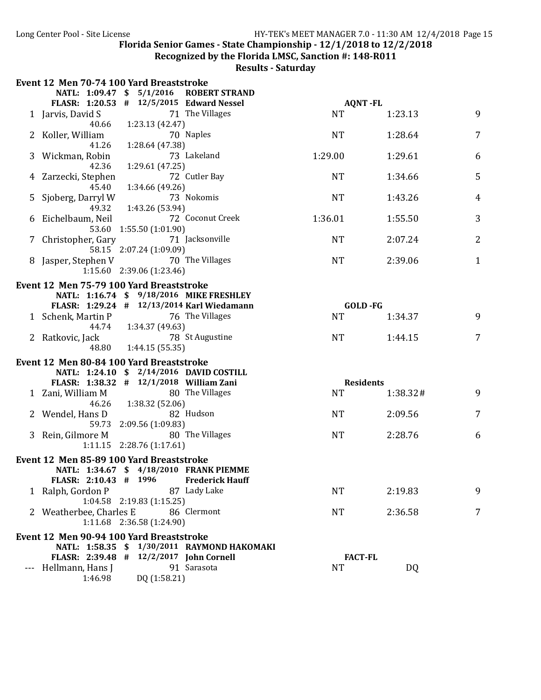Recognized by the Florida LMSC, Sanction #: 148-R011

|   | Event 12 Men 70-74 100 Yard Breaststroke   |                                 |                                                                                        |           |                  |          |                |
|---|--------------------------------------------|---------------------------------|----------------------------------------------------------------------------------------|-----------|------------------|----------|----------------|
|   | NATL: 1:09.47 \$ 5/1/2016                  |                                 | <b>ROBERT STRAND</b>                                                                   |           |                  |          |                |
|   | FLASR: 1:20.53 # 12/5/2015 Edward Nessel   |                                 |                                                                                        |           | <b>AQNT-FL</b>   |          |                |
|   | 1 Jarvis, David S                          |                                 | 71 The Villages                                                                        | <b>NT</b> |                  | 1:23.13  | 9              |
|   | 40.66                                      | 1:23.13 (42.47)                 | 70 Naples                                                                              | <b>NT</b> |                  |          | $\overline{7}$ |
|   | Koller, William<br>41.26                   | 1:28.64 (47.38)                 |                                                                                        |           |                  | 1:28.64  |                |
| 3 | Wickman, Robin                             |                                 | 73 Lakeland                                                                            | 1:29.00   |                  | 1:29.61  | 6              |
|   | 42.36                                      | 1:29.61 (47.25)                 |                                                                                        |           |                  |          |                |
|   | Zarzecki, Stephen                          |                                 | 72 Cutler Bay                                                                          | <b>NT</b> |                  | 1:34.66  | 5              |
|   | 45.40                                      | 1:34.66 (49.26)                 |                                                                                        |           |                  |          |                |
| 5 | Sjoberg, Darryl W                          |                                 | 73 Nokomis                                                                             | <b>NT</b> |                  | 1:43.26  | $\overline{4}$ |
|   | 49.32                                      | 1:43.26 (53.94)                 |                                                                                        |           |                  |          |                |
| 6 | Eichelbaum, Neil                           |                                 | 72 Coconut Creek                                                                       | 1:36.01   |                  | 1:55.50  | 3              |
|   |                                            | 53.60 1:55.50 (1:01.90)         |                                                                                        |           |                  |          |                |
|   | 7 Christopher, Gary                        |                                 | 71 Jacksonville                                                                        | <b>NT</b> |                  | 2:07.24  | $\overline{2}$ |
|   |                                            | 58.15 2:07.24 (1:09.09)         |                                                                                        |           |                  |          |                |
|   | Jasper, Stephen V                          | 1:15.60 2:39.06 (1:23.46)       | 70 The Villages                                                                        | <b>NT</b> |                  | 2:39.06  | 1              |
|   |                                            |                                 |                                                                                        |           |                  |          |                |
|   | Event 12 Men 75-79 100 Yard Breaststroke   |                                 |                                                                                        |           |                  |          |                |
|   |                                            |                                 | NATL: 1:16.74 \$ 9/18/2016 MIKE FRESHLEY<br>FLASR: 1:29.24 # 12/13/2014 Karl Wiedamann |           | GOLD -FG         |          |                |
|   | 1 Schenk, Martin P                         |                                 | 76 The Villages                                                                        | <b>NT</b> |                  | 1:34.37  | 9              |
|   | 44.74                                      | 1:34.37 (49.63)                 |                                                                                        |           |                  |          |                |
|   | 2 Ratkovic, Jack                           |                                 | 78 St Augustine                                                                        | <b>NT</b> |                  | 1:44.15  | 7              |
|   | 48.80                                      | 1:44.15(55.35)                  |                                                                                        |           |                  |          |                |
|   | Event 12 Men 80-84 100 Yard Breaststroke   |                                 |                                                                                        |           |                  |          |                |
|   |                                            |                                 | NATL: 1:24.10 \$ 2/14/2016 DAVID COSTILL                                               |           |                  |          |                |
|   | FLASR: 1:38.32 # 12/1/2018 William Zani    |                                 |                                                                                        |           | <b>Residents</b> |          |                |
|   | 1 Zani, William M                          |                                 | 80 The Villages                                                                        | <b>NT</b> |                  | 1:38.32# | 9              |
|   | 46.26                                      | 1:38.32 (52.06)                 |                                                                                        |           |                  |          |                |
|   | Wendel, Hans D                             |                                 | 82 Hudson                                                                              | <b>NT</b> |                  | 2:09.56  | 7              |
|   |                                            | 59.73 2:09.56 (1:09.83)         |                                                                                        |           |                  |          |                |
|   | 3 Rein, Gilmore M                          |                                 | 80 The Villages                                                                        | <b>NT</b> |                  | 2:28.76  | 6              |
|   |                                            | 1:11.15 2:28.76 (1:17.61)       |                                                                                        |           |                  |          |                |
|   | Event 12 Men 85-89 100 Yard Breaststroke   |                                 |                                                                                        |           |                  |          |                |
|   |                                            |                                 | NATL: 1:34.67 \$ 4/18/2010 FRANK PIEMME<br><b>Frederick Hauff</b>                      |           |                  |          |                |
|   | FLASR: 2:10.43 # 1996<br>1 Ralph, Gordon P |                                 | 87 Lady Lake                                                                           | NT        |                  | 2:19.83  | 9              |
|   |                                            | $1:04.58$ $2:19.83$ $(1:15.25)$ |                                                                                        |           |                  |          |                |
|   | 2 Weatherbee, Charles E                    |                                 | 86 Clermont                                                                            | <b>NT</b> |                  | 2:36.58  | 7              |
|   |                                            | 1:11.68 2:36.58 (1:24.90)       |                                                                                        |           |                  |          |                |
|   | Event 12 Men 90-94 100 Yard Breaststroke   |                                 |                                                                                        |           |                  |          |                |
|   |                                            |                                 | NATL: 1:58.35 \$ 1/30/2011 RAYMOND HAKOMAKI                                            |           |                  |          |                |
|   | FLASR: 2:39.48 # 12/2/2017 John Cornell    |                                 |                                                                                        |           | <b>FACT-FL</b>   |          |                |
|   | Hellmann, Hans J                           |                                 | 91 Sarasota                                                                            | <b>NT</b> |                  | DQ       |                |
|   | 1:46.98                                    | DQ (1:58.21)                    |                                                                                        |           |                  |          |                |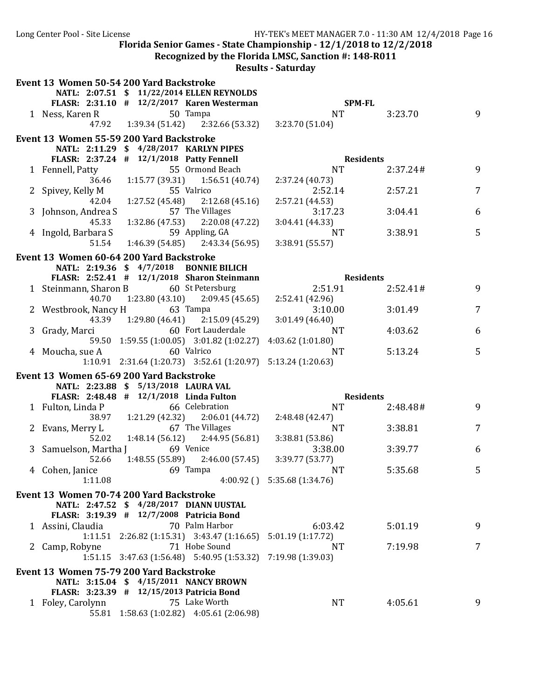**Recognized by the Florida LMSC, Sanction #: 148-R011** 

|   | Event 13 Women 50-54 200 Yard Backstroke                              |                                  |                  |                |  |  |
|---|-----------------------------------------------------------------------|----------------------------------|------------------|----------------|--|--|
|   | NATL: 2:07.51 \$ 11/22/2014 ELLEN REYNOLDS                            |                                  |                  |                |  |  |
|   | FLASR: 2:31.10 # 12/2/2017 Karen Westerman                            |                                  | <b>SPM-FL</b>    |                |  |  |
|   | 1 Ness, Karen R<br>50 Tampa                                           | <b>NT</b>                        | 3:23.70          | 9              |  |  |
|   | 47.92<br>$1:39.34(51.42)$ $2:32.66(53.32)$                            | 3:23.70 (51.04)                  |                  |                |  |  |
|   | Event 13 Women 55-59 200 Yard Backstroke                              |                                  |                  |                |  |  |
|   | NATL: 2:11.29 \$ 4/28/2017 KARLYN PIPES                               |                                  |                  |                |  |  |
|   | FLASR: 2:37.24 # 12/1/2018 Patty Fennell                              |                                  | <b>Residents</b> |                |  |  |
|   | 55 Ormond Beach<br>1 Fennell, Patty                                   | <b>NT</b>                        | 2:37.24#         | 9              |  |  |
|   | 36.46<br>$1:15.77(39.31)$ $1:56.51(40.74)$                            | 2:37.24(40.73)                   |                  |                |  |  |
|   | 55 Valrico<br>2 Spivey, Kelly M                                       | 2:52.14                          | 2:57.21          | $\overline{7}$ |  |  |
|   | $1:27.52(45.48)$ $2:12.68(45.16)$<br>42.04                            | 2:57.21 (44.53)                  |                  |                |  |  |
|   | 57 The Villages<br>3 Johnson, Andrea S                                | 3:17.23                          | 3:04.41          | 6              |  |  |
|   | 1:32.86 (47.53) 2:20.08 (47.22)<br>45.33                              | 3:04.41(44.33)                   |                  |                |  |  |
|   | 59 Appling, GA<br>4 Ingold, Barbara S                                 | <b>NT</b>                        | 3:38.91          | 5              |  |  |
|   | 51.54<br>$1:46.39(54.85)$ $2:43.34(56.95)$                            | 3:38.91 (55.57)                  |                  |                |  |  |
|   | Event 13 Women 60-64 200 Yard Backstroke                              |                                  |                  |                |  |  |
|   | NATL: 2:19.36 \$4/7/2018 BONNIE BILICH                                |                                  |                  |                |  |  |
|   | FLASR: 2:52.41 # 12/1/2018 Sharon Steinmann                           |                                  | <b>Residents</b> |                |  |  |
|   | 1 Steinmann, Sharon B 60 St Petersburg                                | 2:51.91                          | 2:52.41#         | 9              |  |  |
|   | $1:23.80(43.10)$ $2:09.45(45.65)$<br>40.70                            | 2:52.41 (42.96)                  |                  |                |  |  |
|   | 2 Westbrook, Nancy H 63 Tampa                                         | 3:10.00                          | 3:01.49          | $\overline{7}$ |  |  |
|   | 43.39 1:29.80 (46.41) 2:15.09 (45.29)                                 | 3:01.49(46.40)                   |                  |                |  |  |
| 3 | Grady, Marci 60 Fort Lauderdale                                       | <b>NT</b>                        | 4:03.62          | 6              |  |  |
|   | 59.50 1:59.55 (1:00.05) 3:01.82 (1:02.27) 4:03.62 (1:01.80)           |                                  |                  |                |  |  |
|   | 4 Moucha, sue A 60 Valrico                                            | <b>NT</b>                        | 5:13.24          | 5              |  |  |
|   | 1:10.91 2:31.64 (1:20.73) 3:52.61 (1:20.97) 5:13.24 (1:20.63)         |                                  |                  |                |  |  |
|   | Event 13 Women 65-69 200 Yard Backstroke                              |                                  |                  |                |  |  |
|   | NATL: 2:23.88 \$ 5/13/2018 LAURA VAL                                  |                                  |                  |                |  |  |
|   | FLASR: 2:48.48 # 12/1/2018 Linda Fulton                               |                                  | <b>Residents</b> |                |  |  |
|   | 66 Celebration<br>1 Fulton, Linda P                                   | <b>NT</b>                        | 2:48.48#         | 9              |  |  |
|   | 38.97 1:21.29 (42.32) 2:06.01 (44.72)                                 | 2:48.48 (42.47)                  |                  |                |  |  |
|   | 2 Evans, Merry L<br>67 The Villages                                   | <b>NT</b>                        | 3:38.81          | 7              |  |  |
|   | $52.02$ 1:48.14 (56.12) 2:44.95 (56.81)                               | 3:38.81 (53.86)                  |                  |                |  |  |
|   | 3 Samuelson, Martha J<br>69 Venice                                    | 3:38.00                          | 3:39.77          | 6              |  |  |
|   | $1:48.55(55.89)$ $2:46.00(57.45)$<br>52.66                            | 3:39.77 (53.77)                  |                  |                |  |  |
|   | 4 Cohen, Janice 69 Tampa                                              | <b>NT</b>                        | 5:35.68          | 5              |  |  |
|   | 1:11.08                                                               | $4:00.92$ () $5:35.68$ (1:34.76) |                  |                |  |  |
|   | Event 13 Women 70-74 200 Yard Backstroke                              |                                  |                  |                |  |  |
|   | NATL: 2:47.52 \$ 4/28/2017 DIANN UUSTAL                               |                                  |                  |                |  |  |
|   | FLASR: 3:19.39 # 12/7/2008 Patricia Bond                              |                                  |                  |                |  |  |
|   | 70 Palm Harbor<br>1 Assini, Claudia                                   | 6:03.42                          | 5:01.19          | 9              |  |  |
|   | $1:11.51$ $2:26.82$ (1:15.31) $3:43.47$ (1:16.65) $5:01.19$ (1:17.72) |                                  |                  |                |  |  |
|   | 71 Hobe Sound<br>2 Camp, Robyne                                       | NT                               | 7:19.98          | 7              |  |  |
|   | 1:51.15  3:47.63  (1:56.48)  5:40.95  (1:53.32)  7:19.98  (1:39.03)   |                                  |                  |                |  |  |
|   | Event 13 Women 75-79 200 Yard Backstroke                              |                                  |                  |                |  |  |
|   | NATL: 3:15.04 \$ 4/15/2011 NANCY BROWN                                |                                  |                  |                |  |  |
|   | FLASR: 3:23.39 # 12/15/2013 Patricia Bond                             |                                  |                  |                |  |  |
|   | 1 Foley, Carolynn<br>75 Lake Worth                                    | NT                               | 4:05.61          | 9              |  |  |
|   | 55.81 1:58.63 (1:02.82) 4:05.61 (2:06.98)                             |                                  |                  |                |  |  |
|   |                                                                       |                                  |                  |                |  |  |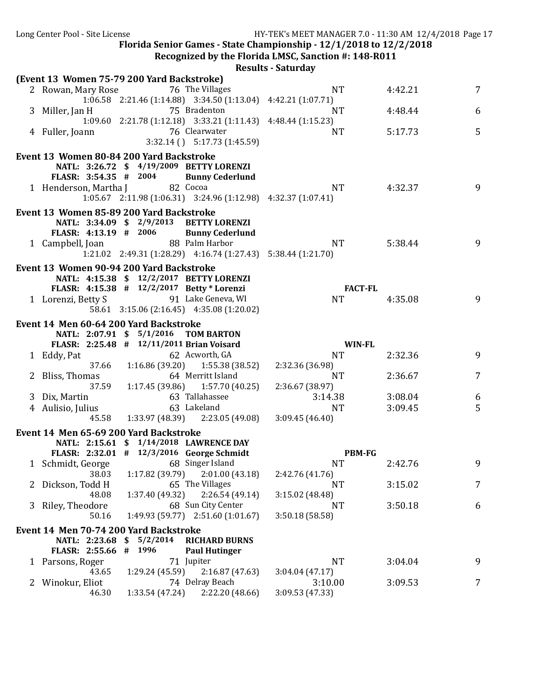Recognized by the Florida LMSC, Sanction #: 148-R011

|   | (Event 13 Women 75-79 200 Yard Backstroke) |                 |                                                               |                      |         |        |
|---|--------------------------------------------|-----------------|---------------------------------------------------------------|----------------------|---------|--------|
|   | 2 Rowan, Mary Rose                         |                 | 76 The Villages                                               | <b>NT</b>            | 4:42.21 | 7      |
|   |                                            |                 | 1:06.58 2:21.46 (1:14.88) 3:34.50 (1:13.04) 4:42.21 (1:07.71) |                      |         |        |
|   | 3 Miller, Jan H                            |                 | 75 Bradenton                                                  | <b>NT</b>            | 4:48.44 | 6      |
|   |                                            |                 | 1:09.60 2:21.78 (1:12.18) 3:33.21 (1:11.43) 4:48.44 (1:15.23) |                      |         |        |
|   | 4 Fuller, Joann                            |                 | 76 Clearwater                                                 | <b>NT</b>            | 5:17.73 | 5      |
|   |                                            |                 | $3:32.14$ () $5:17.73$ (1:45.59)                              |                      |         |        |
|   | Event 13 Women 80-84 200 Yard Backstroke   |                 |                                                               |                      |         |        |
|   |                                            |                 | NATL: 3:26.72 \$ 4/19/2009 BETTY LORENZI                      |                      |         |        |
|   | FLASR: 3:54.35 # 2004                      |                 | <b>Bunny Cederlund</b>                                        |                      |         |        |
|   | 1 Henderson, Martha J                      |                 | 82 Cocoa                                                      | <b>NT</b>            | 4:32.37 | 9      |
|   |                                            |                 | 1:05.67 2:11.98 (1:06.31) 3:24.96 (1:12.98) 4:32.37 (1:07.41) |                      |         |        |
|   | Event 13 Women 85-89 200 Yard Backstroke   |                 |                                                               |                      |         |        |
|   |                                            |                 | NATL: 3:34.09 \$ 2/9/2013 BETTY LORENZI                       |                      |         |        |
|   | FLASR: 4:13.19 # 2006                      |                 | <b>Bunny Cederlund</b>                                        |                      |         |        |
|   | 1 Campbell, Joan                           |                 | 88 Palm Harbor                                                | <b>NT</b>            | 5:38.44 | 9      |
|   |                                            |                 | 1:21.02 2:49.31 (1:28.29) 4:16.74 (1:27.43) 5:38.44 (1:21.70) |                      |         |        |
|   |                                            |                 |                                                               |                      |         |        |
|   | Event 13 Women 90-94 200 Yard Backstroke   |                 |                                                               |                      |         |        |
|   | FLASR: 4:15.38 # 12/2/2017 Betty * Lorenzi |                 | NATL: 4:15.38 \$ 12/2/2017 BETTY LORENZI                      | <b>FACT-FL</b>       |         |        |
|   | 1 Lorenzi, Betty S 91 Lake Geneva, WI      |                 |                                                               | <b>NT</b>            | 4:35.08 | 9      |
|   |                                            |                 | 58.61 3:15.06 (2:16.45) 4:35.08 (1:20.02)                     |                      |         |        |
|   |                                            |                 |                                                               |                      |         |        |
|   | Event 14 Men 60-64 200 Yard Backstroke     |                 |                                                               |                      |         |        |
|   | NATL: 2:07.91 \$ 5/1/2016 TOM BARTON       |                 |                                                               |                      |         |        |
|   | FLASR: 2:25.48 # 12/11/2011 Brian Voisard  |                 |                                                               | <b>WIN-FL</b>        |         |        |
|   | 1 Eddy, Pat                                |                 | 62 Acworth, GA                                                | <b>NT</b>            | 2:32.36 | 9      |
|   | 37.66                                      |                 | $1:16.86(39.20)$ $1:55.38(38.52)$                             | 2:32.36 (36.98)      |         |        |
|   | 2 Bliss, Thomas                            |                 | 64 Merritt Island                                             | <b>NT</b>            | 2:36.67 | 7      |
|   | 37.59                                      |                 | $1:17.45(39.86)$ $1:57.70(40.25)$<br>63 Tallahassee           | 2:36.67 (38.97)      |         |        |
|   | 3 Dix, Martin                              |                 | 63 Lakeland                                                   | 3:14.38<br><b>NT</b> | 3:08.04 | 6<br>5 |
|   | 4 Aulisio, Julius<br>45.58                 |                 | $1:33.97(48.39)$ $2:23.05(49.08)$                             | 3:09.45(46.40)       | 3:09.45 |        |
|   |                                            |                 |                                                               |                      |         |        |
|   | Event 14 Men 65-69 200 Yard Backstroke     |                 |                                                               |                      |         |        |
|   |                                            |                 | NATL: 2:15.61 \$ 1/14/2018 LAWRENCE DAY                       |                      |         |        |
|   | FLASR: 2:32.01 # 12/3/2016 George Schmidt  |                 |                                                               | <b>PBM-FG</b>        |         |        |
|   | 1 Schmidt, George                          |                 | 68 Singer Island                                              | <b>NT</b>            | 2:42.76 | 9      |
|   |                                            |                 | 38.03 1:17.82 (39.79) 2:01.00 (43.18) 2:42.76 (41.76)         |                      |         |        |
|   | 2 Dickson, Todd H                          |                 | 65 The Villages                                               | <b>NT</b>            | 3:15.02 | 7      |
|   | 48.08                                      | 1:37.40 (49.32) | 2:26.54(49.14)                                                | 3:15.02 (48.48)      |         |        |
| 3 | Riley, Theodore<br>50.16                   |                 | 68 Sun City Center<br>$1:49.93(59.77)$ $2:51.60(1:01.67)$     | NT<br>3:50.18(58.58) | 3:50.18 | 6      |
|   |                                            |                 |                                                               |                      |         |        |
|   | Event 14 Men 70-74 200 Yard Backstroke     |                 |                                                               |                      |         |        |
|   | NATL: 2:23.68                              | 5/2/2014<br>\$  | <b>RICHARD BURNS</b>                                          |                      |         |        |
|   | <b>FLASR: 2:55.66</b>                      | # 1996          | <b>Paul Hutinger</b>                                          |                      |         |        |
|   | 1 Parsons, Roger                           |                 | 71 Jupiter                                                    | <b>NT</b>            | 3:04.04 | 9      |
|   | 43.65                                      | 1:29.24 (45.59) | 2:16.87(47.63)                                                | 3:04.04(47.17)       |         |        |
| 2 | Winokur, Eliot                             |                 | 74 Delray Beach                                               | 3:10.00              | 3:09.53 | 7      |
|   | 46.30                                      | 1:33.54 (47.24) | 2:22.20 (48.66)                                               | 3:09.53 (47.33)      |         |        |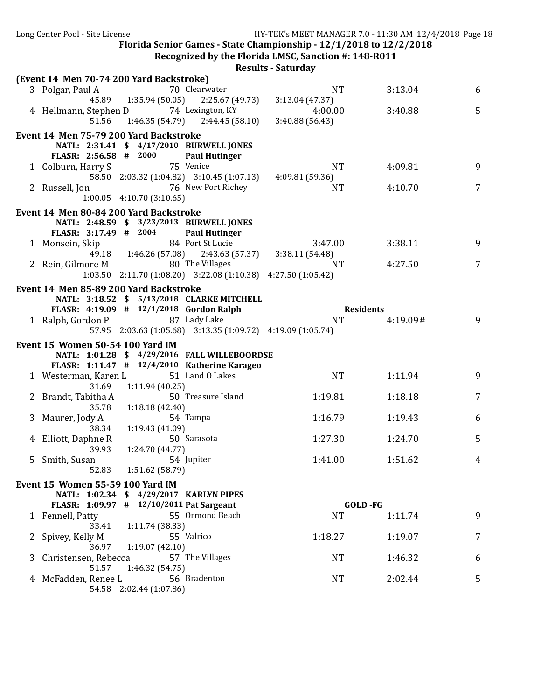**Recognized by the Florida LMSC, Sanction #: 148-R011** 

|   |                                                                                                                                         | Results - Saturuay                            |                  |                |
|---|-----------------------------------------------------------------------------------------------------------------------------------------|-----------------------------------------------|------------------|----------------|
|   | (Event 14 Men 70-74 200 Yard Backstroke)<br>70 Clearwater<br>3 Polgar, Paul A                                                           | <b>NT</b>                                     | 3:13.04          | 6              |
|   | 45.89   1:35.94 (50.05)   2:25.67 (49.73)<br>4 Hellmann, Stephen D 74 Lexington, KY<br>$51.56$ 1:46.35 (54.79) 2:44.45 (58.10)          | 3:13.04 (47.37)<br>4:00.00<br>3:40.88 (56.43) | 3:40.88          | 5              |
|   | Event 14 Men 75-79 200 Yard Backstroke<br>NATL: 2:31.41 \$ 4/17/2010 BURWELL JONES<br>FLASR: 2:56.58 # 2000<br><b>Paul Hutinger</b>     |                                               |                  |                |
|   | 75 Venice<br>1 Colburn, Harry S<br>58.50 2:03.32 (1:04.82) 3:10.45 (1:07.13)                                                            | <b>NT</b><br>4:09.81(59.36)                   | 4:09.81          | 9              |
|   | 76 New Port Richey<br>2 Russell, Jon<br>$1:00.05$ 4:10.70 (3:10.65)                                                                     | NT                                            | 4:10.70          | 7              |
|   | Event 14 Men 80-84 200 Yard Backstroke<br>NATL: 2:48.59 \$ 3/23/2013 BURWELL JONES<br>FLASR: 3:17.49 # 2004<br><b>Paul Hutinger</b>     |                                               |                  |                |
|   | 84 Port St Lucie<br>1 Monsein, Skip<br>49.18  1:46.26 (57.08)  2:43.63 (57.37)  3:38.11 (54.48)                                         | 3:47.00                                       | 3:38.11          | 9              |
|   | 80 The Villages<br>2 Rein, Gilmore M<br>$1:03.50$ $2:11.70$ $(1:08.20)$ $3:22.08$ $(1:10.38)$ $4:27.50$ $(1:05.42)$                     | <b>NT</b>                                     | 4:27.50          | $\overline{7}$ |
|   | Event 14 Men 85-89 200 Yard Backstroke<br>NATL: 3:18.52 \$ 5/13/2018 CLARKE MITCHELL<br>FLASR: 4:19.09 # 12/1/2018 Gordon Ralph         |                                               | <b>Residents</b> |                |
|   | 1 Ralph, Gordon P 87 Lady Lake<br>57.95 2:03.63 (1:05.68) 3:13.35 (1:09.72) 4:19.09 (1:05.74)                                           | <b>NT</b>                                     | 4:19.09#         | 9              |
|   | <b>Event 15 Women 50-54 100 Yard IM</b><br>NATL: 1:01.28 \$ 4/29/2016 FALL WILLEBOORDSE<br>FLASR: 1:11.47 # 12/4/2010 Katherine Karageo |                                               |                  |                |
|   | 1 Westerman, Karen L 51 Land 0 Lakes<br>1:11.94(40.25)<br>31.69                                                                         | <b>NT</b>                                     | 1:11.94          | 9              |
|   | 50 Treasure Island<br>2 Brandt, Tabitha A<br>35.78                                                                                      | 1:19.81                                       | 1:18.18          | $\overline{7}$ |
|   | 1:18.18 (42.40)<br>54 Tampa<br>3 Maurer, Jody A                                                                                         | 1:16.79                                       | 1:19.43          | 6              |
|   | 1:19.43 (41.09)<br>38.34<br>4 Elliott, Daphne R<br>50 Sarasota                                                                          | 1:27.30                                       | 1:24.70          | 5              |
|   | 39.93<br>1:24.70 (44.77)<br>5 Smith, Susan<br>54 Jupiter<br>52.83<br>1:51.62 (58.79)                                                    | 1:41.00                                       | 1:51.62          | 4              |
|   | Event 15 Women 55-59 100 Yard IM                                                                                                        |                                               |                  |                |
|   | NATL: 1:02.34 \$ 4/29/2017 KARLYN PIPES<br>FLASR: 1:09.97 # 12/10/2011 Pat Sargeant                                                     |                                               | <b>GOLD-FG</b>   |                |
|   | 55 Ormond Beach<br>1 Fennell, Patty<br>33.41                                                                                            | <b>NT</b>                                     | 1:11.74          | 9              |
|   | 1:11.74 (38.33)<br>55 Valrico<br>Spivey, Kelly M                                                                                        | 1:18.27                                       | 1:19.07          | 7              |
| 3 | 36.97<br>1:19.07(42.10)<br>Christensen, Rebecca<br>57 The Villages                                                                      | NT.                                           | 1:46.32          | 6              |
| 4 | 51.57<br>1:46.32 (54.75)<br>56 Bradenton<br>McFadden, Renee L                                                                           | <b>NT</b>                                     | 2:02.44          | 5              |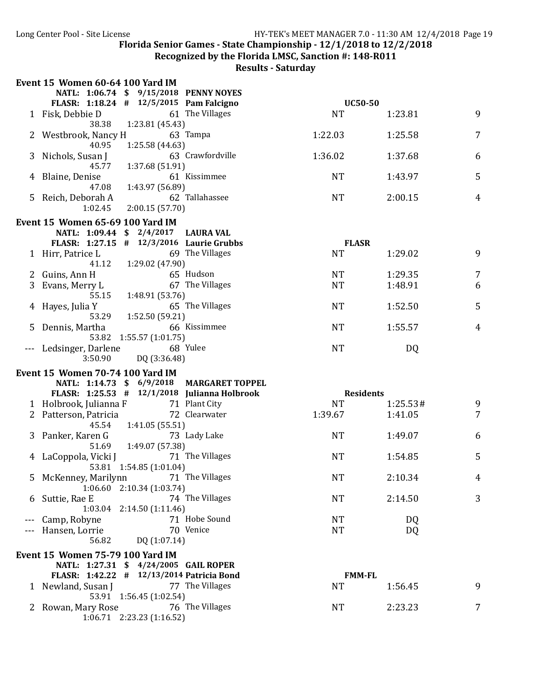Recognized by the Florida LMSC, Sanction #: 148-R011

|   | <b>Event 15 Women 60-64 100 Yard IM</b>     |                                 |                                              |           |                  |                |
|---|---------------------------------------------|---------------------------------|----------------------------------------------|-----------|------------------|----------------|
|   | NATL: 1:06.74 \$ 9/15/2018 PENNY NOYES      |                                 |                                              |           |                  |                |
|   | FLASR: $1:18.24$ # $12/5/2015$ Pam Falcigno |                                 |                                              |           | <b>UC50-50</b>   |                |
|   | 1 Fisk, Debbie D                            |                                 | 61 The Villages                              | <b>NT</b> | 1:23.81          | 9              |
|   | 38.38                                       | 1:23.81 (45.43)                 | 63 Tampa                                     | 1:22.03   | 1:25.58          | 7              |
|   | 2 Westbrook, Nancy H<br>40.95               | 1:25.58 (44.63)                 |                                              |           |                  |                |
| 3 | Nichols, Susan J                            |                                 | 63 Crawfordville                             | 1:36.02   | 1:37.68          | 6              |
|   | 45.77                                       | 1:37.68 (51.91)                 |                                              |           |                  |                |
|   | Blaine, Denise                              |                                 | 61 Kissimmee                                 | <b>NT</b> | 1:43.97          | 5              |
|   | 47.08                                       | 1:43.97 (56.89)                 |                                              |           |                  |                |
| 5 | Reich, Deborah A                            |                                 | 62 Tallahassee                               | <b>NT</b> | 2:00.15          | $\overline{4}$ |
|   | 1:02.45                                     | 2:00.15(57.70)                  |                                              |           |                  |                |
|   | <b>Event 15 Women 65-69 100 Yard IM</b>     |                                 |                                              |           |                  |                |
|   | NATL: 1:09.44 \$ 2/4/2017 LAURA VAL         |                                 |                                              |           |                  |                |
|   | FLASR: 1:27.15 # 12/3/2016 Laurie Grubbs    |                                 |                                              |           | <b>FLASR</b>     |                |
|   | 1 Hirr, Patrice L                           |                                 | 69 The Villages                              | <b>NT</b> | 1:29.02          | 9              |
|   | 41.12                                       | 1:29.02 (47.90)                 |                                              |           |                  |                |
|   | 2 Guins, Ann H                              |                                 | 65 Hudson                                    | <b>NT</b> | 1:29.35          | 7              |
| 3 | Evans, Merry L                              |                                 | 67 The Villages                              | <b>NT</b> | 1:48.91          | 6              |
|   | 55.15                                       | 1:48.91 (53.76)                 |                                              |           |                  |                |
|   | Hayes, Julia Y<br>53.29                     |                                 | 65 The Villages                              | <b>NT</b> | 1:52.50          | 5              |
|   | Dennis, Martha                              | 1:52.50 (59.21)                 | 66 Kissimmee                                 | <b>NT</b> | 1:55.57          | 4              |
|   |                                             | 53.82 1:55.57 (1:01.75)         |                                              |           |                  |                |
|   | Ledsinger, Darlene                          |                                 | 68 Yulee                                     | <b>NT</b> | DQ               |                |
|   | 3:50.90                                     | DQ (3:36.48)                    |                                              |           |                  |                |
|   | <b>Event 15 Women 70-74 100 Yard IM</b>     |                                 |                                              |           |                  |                |
|   |                                             |                                 | NATL: 1:14.73 \$ 6/9/2018 MARGARET TOPPEL    |           |                  |                |
|   |                                             |                                 | FLASR: 1:25.53 # 12/1/2018 Julianna Holbrook |           | <b>Residents</b> |                |
|   | 1 Holbrook, Julianna F                      |                                 | 71 Plant City                                | <b>NT</b> | 1:25.53#         | 9              |
|   | 2 Patterson, Patricia                       |                                 | 72 Clearwater                                | 1:39.67   | 1:41.05          | 7              |
|   | 45.54                                       | 1:41.05 (55.51)                 |                                              |           |                  |                |
|   | 3 Panker, Karen G                           |                                 | 73 Lady Lake                                 | <b>NT</b> | 1:49.07          | 6              |
|   | 51.69                                       | 1:49.07 (57.38)                 |                                              |           |                  |                |
| 4 | LaCoppola, Vicki J                          |                                 | 71 The Villages                              | <b>NT</b> | 1:54.85          | 5              |
|   |                                             | 53.81 1:54.85 (1:01.04)         |                                              |           |                  |                |
|   | 5 McKenney, Marilynn                        | $1:06.60$ $2:10.34$ (1:03.74)   | 71 The Villages                              | <b>NT</b> | 2:10.34          | 4              |
| 6 | Suttie, Rae E                               |                                 | 74 The Villages                              | <b>NT</b> | 2:14.50          | 3              |
|   |                                             | 1:03.04 2:14.50 (1:11.46)       |                                              |           |                  |                |
|   | Camp, Robyne                                |                                 | 71 Hobe Sound                                | NT        | DQ               |                |
|   | Hansen, Lorrie                              |                                 | 70 Venice                                    | <b>NT</b> | DQ               |                |
|   | 56.82                                       | DQ (1:07.14)                    |                                              |           |                  |                |
|   | <b>Event 15 Women 75-79 100 Yard IM</b>     |                                 |                                              |           |                  |                |
|   | NATL: 1:27.31 \$ 4/24/2005 GAIL ROPER       |                                 |                                              |           |                  |                |
|   | FLASR: 1:42.22 # 12/13/2014 Patricia Bond   |                                 |                                              |           | <b>FMM-FL</b>    |                |
|   | 1 Newland, Susan J                          |                                 | 77 The Villages                              | NT        | 1:56.45          | 9              |
|   |                                             | 53.91 1:56.45 (1:02.54)         |                                              |           |                  |                |
|   | 2 Rowan, Mary Rose                          |                                 | 76 The Villages                              | <b>NT</b> | 2:23.23          | 7              |
|   |                                             | $1:06.71$ $2:23.23$ $(1:16.52)$ |                                              |           |                  |                |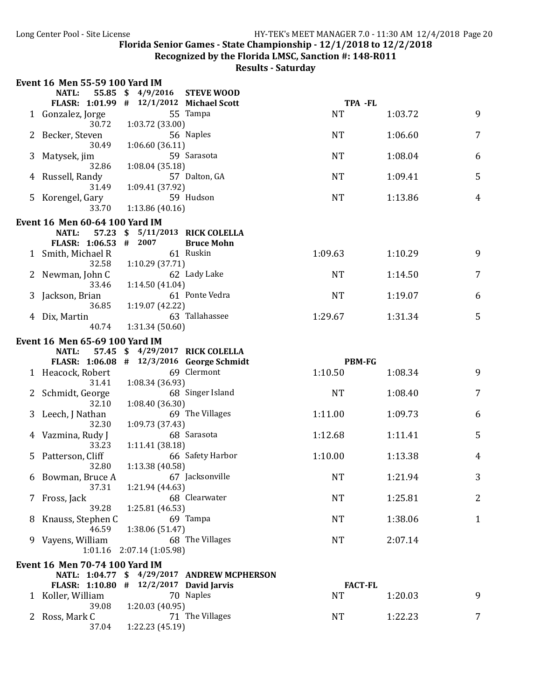Recognized by the Florida LMSC, Sanction #: 148-R011

|   | <b>Event 16 Men 55-59 100 Yard IM</b>                              |                   |                                             |                      |         |                |
|---|--------------------------------------------------------------------|-------------------|---------------------------------------------|----------------------|---------|----------------|
|   | NATL:                                                              | 55.85 \$ 4/9/2016 | <b>STEVE WOOD</b>                           |                      |         |                |
|   | FLASR: 1:01.99 # 12/1/2012 Michael Scott                           |                   | 55 Tampa                                    | TPA -FL<br><b>NT</b> |         | 9              |
|   | 1 Gonzalez, Jorge<br>30.72                                         | 1:03.72 (33.00)   |                                             |                      | 1:03.72 |                |
|   | Becker, Steven                                                     |                   | 56 Naples                                   | <b>NT</b>            | 1:06.60 | 7              |
|   | 30.49                                                              | 1:06.60(36.11)    |                                             |                      |         |                |
| 3 | Matysek, jim                                                       |                   | 59 Sarasota                                 | <b>NT</b>            | 1:08.04 | 6              |
|   | 32.86                                                              | 1:08.04 (35.18)   |                                             |                      |         |                |
| 4 | Russell, Randy<br>31.49                                            | 1:09.41 (37.92)   | 57 Dalton, GA                               | <b>NT</b>            | 1:09.41 | 5              |
|   | 5 Korengel, Gary                                                   |                   | 59 Hudson                                   | <b>NT</b>            | 1:13.86 | $\overline{4}$ |
|   | 33.70                                                              | 1:13.86(40.16)    |                                             |                      |         |                |
|   | <b>Event 16 Men 60-64 100 Yard IM</b>                              |                   |                                             |                      |         |                |
|   | NATL:<br>57.23                                                     | \$                | 5/11/2013 RICK COLELLA                      |                      |         |                |
|   | FLASR: 1:06.53                                                     | #<br>2007         | <b>Bruce Mohn</b>                           |                      |         |                |
|   | 1 Smith, Michael R                                                 |                   | 61 Ruskin                                   | 1:09.63              | 1:10.29 | 9              |
|   | 32.58                                                              | 1:10.29(37.71)    | 62 Lady Lake                                | <b>NT</b>            | 1:14.50 | 7              |
|   | Newman, John C<br>33.46                                            | 1:14.50(41.04)    |                                             |                      |         |                |
|   | Jackson, Brian                                                     |                   | 61 Ponte Vedra                              | <b>NT</b>            | 1:19.07 | 6              |
|   | 36.85                                                              | 1:19.07 (42.22)   |                                             |                      |         |                |
|   | Dix, Martin                                                        |                   | 63 Tallahassee                              | 1:29.67              | 1:31.34 | 5              |
|   | 40.74                                                              | 1:31.34(50.60)    |                                             |                      |         |                |
|   | <b>Event 16 Men 65-69 100 Yard IM</b>                              |                   |                                             |                      |         |                |
|   | 57.45<br><b>NATL:</b><br>FLASR: 1:06.08 # 12/3/2016 George Schmidt |                   | $$4/29/2017$ RICK COLELLA                   | <b>PBM-FG</b>        |         |                |
|   | 1 Heacock, Robert                                                  |                   | 69 Clermont                                 | 1:10.50              | 1:08.34 | 9              |
|   | 31.41                                                              | 1:08.34 (36.93)   |                                             |                      |         |                |
|   | Schmidt, George                                                    |                   | 68 Singer Island                            | <b>NT</b>            | 1:08.40 | 7              |
|   | 32.10                                                              | 1:08.40 (36.30)   |                                             |                      |         |                |
|   | Leech, J Nathan<br>32.30                                           | 1:09.73 (37.43)   | 69 The Villages                             | 1:11.00              | 1:09.73 | 6              |
| 4 | Vazmina, Rudy J                                                    |                   | 68 Sarasota                                 | 1:12.68              | 1:11.41 | 5              |
|   | 33.23                                                              | 1:11.41 (38.18)   |                                             |                      |         |                |
| 5 | Patterson, Cliff                                                   |                   | 66 Safety Harbor                            | 1:10.00              | 1:13.38 | 4              |
|   | 32.80                                                              | 1:13.38 (40.58)   |                                             |                      |         |                |
|   | 6 Bowman, Bruce A<br>37.31                                         | 1:21.94 (44.63)   | 67 Jacksonville                             | <b>NT</b>            | 1:21.94 | 3              |
|   | 7 Fross, Jack                                                      |                   | 68 Clearwater                               | <b>NT</b>            | 1:25.81 | 2              |
|   | 39.28                                                              | 1:25.81(46.53)    |                                             |                      |         |                |
| 8 | Knauss, Stephen C                                                  |                   | 69 Tampa                                    | <b>NT</b>            | 1:38.06 | $\mathbf{1}$   |
|   | 46.59                                                              | 1:38.06 (51.47)   |                                             |                      |         |                |
| 9 | Vayens, William<br>1:01.16                                         | 2:07.14 (1:05.98) | 68 The Villages                             | <b>NT</b>            | 2:07.14 |                |
|   |                                                                    |                   |                                             |                      |         |                |
|   | Event 16 Men 70-74 100 Yard IM                                     |                   | NATL: 1:04.77 \$ 4/29/2017 ANDREW MCPHERSON |                      |         |                |
|   | FLASR: 1:10.80 # 12/2/2017 David Jarvis                            |                   |                                             | <b>FACT-FL</b>       |         |                |
|   | 1 Koller, William                                                  |                   | 70 Naples                                   | <b>NT</b>            | 1:20.03 | 9              |
|   | 39.08                                                              | 1:20.03(40.95)    |                                             |                      |         |                |
| 2 | Ross, Mark C                                                       |                   | 71 The Villages                             | <b>NT</b>            | 1:22.23 | 7              |
|   | 37.04                                                              | 1:22.23 (45.19)   |                                             |                      |         |                |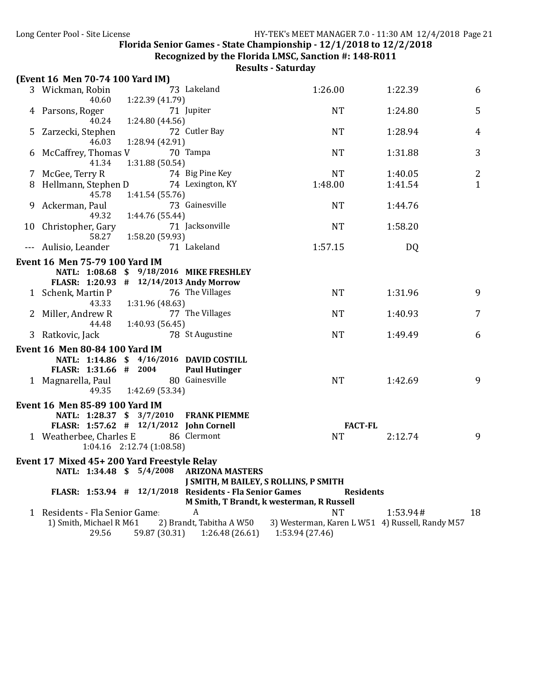**Recognized by the Florida LMSC, Sanction #: 148-R011** 

| (Event 16 Men 70-74 100 Yard IM)<br>73 Lakeland<br>3 Wickman, Robin<br>1:26.00<br>1:22.39<br>1:22.39 (41.79)<br>40.60    | 6              |
|--------------------------------------------------------------------------------------------------------------------------|----------------|
|                                                                                                                          |                |
|                                                                                                                          |                |
| <b>NT</b><br>1:24.80<br>71 Jupiter<br>4 Parsons, Roger                                                                   | 5              |
| 40.24<br>1:24.80 (44.56)                                                                                                 |                |
| 72 Cutler Bay<br><b>NT</b><br>Zarzecki, Stephen<br>1:28.94<br>5.                                                         | 4              |
| 46.03<br>1:28.94 (42.91)                                                                                                 |                |
| 70 Tampa<br>McCaffrey, Thomas V<br><b>NT</b><br>1:31.88<br>6                                                             | 3              |
| 41.34<br>1:31.88 (50.54)                                                                                                 |                |
| 74 Big Pine Key<br><b>NT</b><br>7 McGee, Terry R<br>1:40.05                                                              | $\overline{2}$ |
| 74 Lexington, KY<br>Hellmann, Stephen D<br>1:48.00<br>1:41.54<br>8                                                       | $\mathbf{1}$   |
| 45.78<br>1:41.54 (55.76)                                                                                                 |                |
| 73 Gainesville<br><b>NT</b><br>Ackerman, Paul<br>1:44.76<br>9.                                                           |                |
| 49.32<br>1:44.76 (55.44)                                                                                                 |                |
| 71 Jacksonville<br><b>NT</b><br>1:58.20<br>10 Christopher, Gary                                                          |                |
| 58.27<br>1:58.20 (59.93)                                                                                                 |                |
| 71 Lakeland<br>1:57.15<br>--- Aulisio, Leander<br>DQ                                                                     |                |
| Event 16 Men 75-79 100 Yard IM                                                                                           |                |
| NATL: 1:08.68 \$ 9/18/2016 MIKE FRESHLEY                                                                                 |                |
| FLASR: 1:20.93 # 12/14/2013 Andy Morrow                                                                                  |                |
| 76 The Villages<br>1 Schenk, Martin P<br><b>NT</b><br>1:31.96                                                            | 9              |
| 1:31.96 (48.63)<br>43.33                                                                                                 |                |
| 77 The Villages<br>2 Miller, Andrew R<br><b>NT</b><br>1:40.93                                                            | 7              |
| 1:40.93 (56.45)<br>44.48<br><b>NT</b><br>3 Ratkovic, Jack<br>78 St Augustine<br>1:49.49                                  | 6              |
|                                                                                                                          |                |
| Event 16 Men 80-84 100 Yard IM                                                                                           |                |
| NATL: 1:14.86 \$ 4/16/2016 DAVID COSTILL                                                                                 |                |
| FLASR: 1:31.66 # 2004<br><b>Paul Hutinger</b>                                                                            |                |
| 80 Gainesville<br>1 Magnarella, Paul<br><b>NT</b><br>1:42.69                                                             | 9              |
| 1:42.69 (53.34)<br>49.35                                                                                                 |                |
| <b>Event 16 Men 85-89 100 Yard IM</b>                                                                                    |                |
| NATL: 1:28.37 \$ 3/7/2010<br><b>FRANK PIEMME</b>                                                                         |                |
| FLASR: 1:57.62 # 12/1/2012 John Cornell<br><b>FACT-FL</b>                                                                |                |
| 1 Weatherbee, Charles E<br>86 Clermont<br><b>NT</b><br>2:12.74                                                           | 9              |
| 1:04.16 2:12.74 (1:08.58)                                                                                                |                |
| Event 17 Mixed 45+200 Yard Freestyle Relay                                                                               |                |
| 5/4/2008<br>NATL: 1:34.48 \$<br><b>ARIZONA MASTERS</b>                                                                   |                |
| J SMITH, M BAILEY, S ROLLINS, P SMITH                                                                                    |                |
| FLASR: 1:53.94 # 12/1/2018 Residents - Fla Senior Games<br><b>Residents</b><br>M Smith, T Brandt, k westerman, R Russell |                |
| 1 Residents - Fla Senior Game:<br>A<br><b>NT</b><br>1:53.94#                                                             | 18             |
| 2) Brandt, Tabitha A W50<br>1) Smith, Michael R M61<br>3) Westerman, Karen L W51 4) Russell, Randy M57                   |                |
| 29.56<br>59.87 (30.31)<br>1:26.48(26.61)<br>1:53.94 (27.46)                                                              |                |